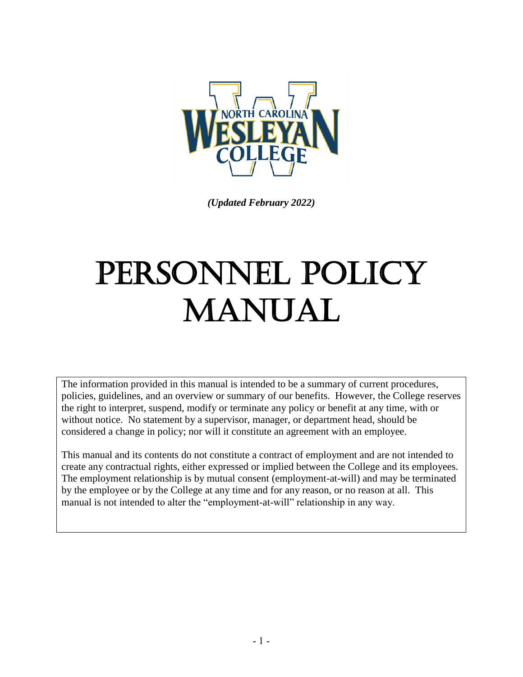

*(Updated February 2022)*

# PERSONNEL POLICY MANUAL

The information provided in this manual is intended to be a summary of current procedures, policies, guidelines, and an overview or summary of our benefits. However, the College reserves the right to interpret, suspend, modify or terminate any policy or benefit at any time, with or without notice. No statement by a supervisor, manager, or department head, should be considered a change in policy; nor will it constitute an agreement with an employee.

This manual and its contents do not constitute a contract of employment and are not intended to create any contractual rights, either expressed or implied between the College and its employees. The employment relationship is by mutual consent (employment-at-will) and may be terminated by the employee or by the College at any time and for any reason, or no reason at all. This manual is not intended to alter the "employment-at-will" relationship in any way.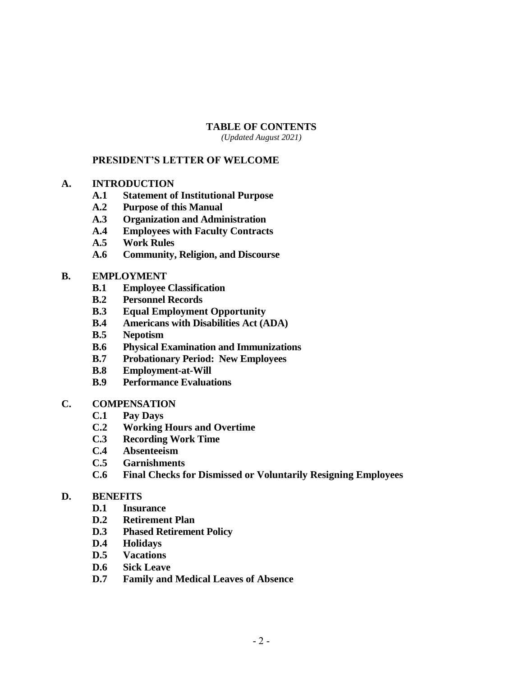#### **TABLE OF CONTENTS**

*(Updated August 2021)*

#### **PRESIDENT'S LETTER OF WELCOME**

- **A. INTRODUCTION**
	- **A.1 Statement of Institutional Purpose**
	- **A.2 Purpose of this Manual**
	- **A.3 Organization and Administration**
	- **A.4 Employees with Faculty Contracts**
	- **A.5 Work Rules**
	- **A.6 Community, Religion, and Discourse**

#### **B. EMPLOYMENT**

- **B.1 Employee Classification**
- **B.2 Personnel Records**
- **B.3 Equal Employment Opportunity**
- **B.4 Americans with Disabilities Act (ADA)**
- **B.5 Nepotism**
- **B.6 Physical Examination and Immunizations**
- **B.7 Probationary Period: New Employees**
- **B.8 Employment-at-Will**
- **B.9 Performance Evaluations**
- **C. COMPENSATION**
	- **C.1 Pay Days**
	- **C.2 Working Hours and Overtime**
	- **C.3 Recording Work Time**
	- **C.4 Absenteeism**
	- **C.5 Garnishments**
	- **C.6 Final Checks for Dismissed or Voluntarily Resigning Employees**

#### **D. BENEFITS**

- **D.1 Insurance**
- **D.2 Retirement Plan**
- **D.3 Phased Retirement Policy**
- **D.4 Holidays**
- **D.5 Vacations**
- **D.6 Sick Leave**
- **D.7 Family and Medical Leaves of Absence**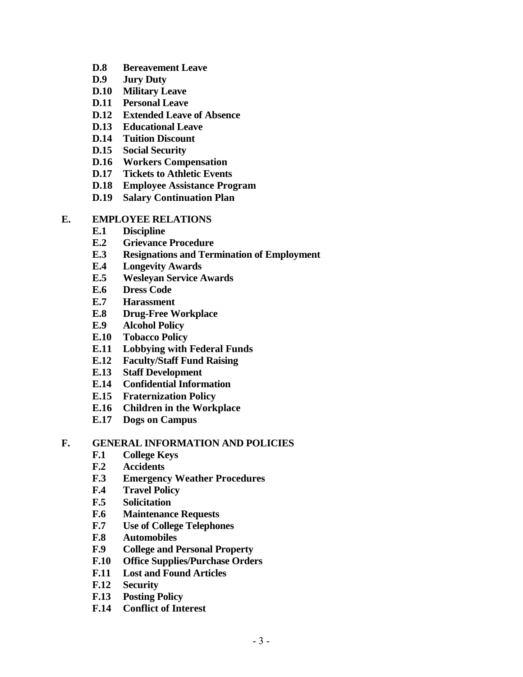- **D.8 Bereavement Leave**
- **D.9 Jury Duty**
- **D.10 Military Leave**
- **D.11 Personal Leave**
- **D.12 Extended Leave of Absence**
- **D.13 Educational Leave**
- **D.14 Tuition Discount**
- **D.15 Social Security**
- **D.16 Workers Compensation**
- **D.17 Tickets to Athletic Events**
- **D.18 Employee Assistance Program**
- **D.19 Salary Continuation Plan**

#### **E. EMPLOYEE RELATIONS**

- **E.1 Discipline**
- **E.2 Grievance Procedure**
- **E.3 Resignations and Termination of Employment**
- **E.4 Longevity Awards**
- **E.5 Wesleyan Service Awards**
- **E.6 Dress Code**
- **E.7 Harassment**
- **E.8 Drug-Free Workplace**
- **E.9 Alcohol Policy**
- **E.10 Tobacco Policy**
- **E.11 Lobbying with Federal Funds**
- **E.12 Faculty/Staff Fund Raising**
- **E.13 Staff Development**
- **E.14 Confidential Information**
- **E.15 Fraternization Policy**
- **E.16 Children in the Workplace**
- **E.17 Dogs on Campus**

#### **F. GENERAL INFORMATION AND POLICIES**

- **F.1 College Keys**
- **F.2 Accidents**
- **F.3 Emergency Weather Procedures**
- **F.4 Travel Policy**
- **F.5 Solicitation**
- **F.6 Maintenance Requests**
- **F.7 Use of College Telephones**
- **F.8 Automobiles**
- **F.9 College and Personal Property**
- **F.10 Office Supplies/Purchase Orders**
- **F.11 Lost and Found Articles**
- **F.12 Security**
- **F.13 Posting Policy**
- **F.14 Conflict of Interest**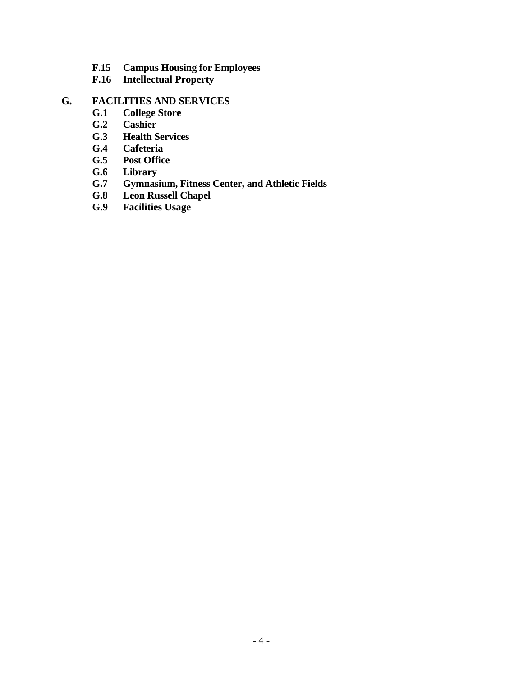- **F.15 Campus Housing for Employees**
- **F.16 Intellectual Property**

#### **G. FACILITIES AND SERVICES**

- **G.1 College Store**
- **G.2 Cashier**
- **G.3 Health Services**
- **G.4 Cafeteria**
- **G.5 Post Office**
- **G.6 Library**
- **G.7 Gymnasium, Fitness Center, and Athletic Fields**
- **G.8 Leon Russell Chapel**
- **G.9 Facilities Usage**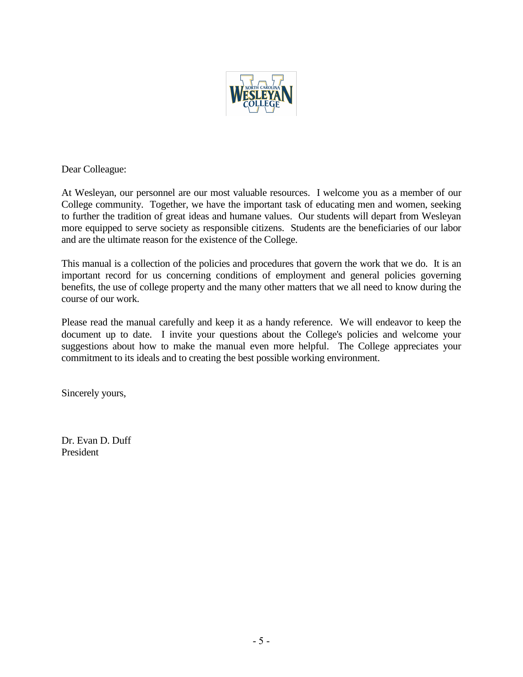

Dear Colleague:

At Wesleyan, our personnel are our most valuable resources. I welcome you as a member of our College community. Together, we have the important task of educating men and women, seeking to further the tradition of great ideas and humane values. Our students will depart from Wesleyan more equipped to serve society as responsible citizens. Students are the beneficiaries of our labor and are the ultimate reason for the existence of the College.

This manual is a collection of the policies and procedures that govern the work that we do. It is an important record for us concerning conditions of employment and general policies governing benefits, the use of college property and the many other matters that we all need to know during the course of our work.

Please read the manual carefully and keep it as a handy reference. We will endeavor to keep the document up to date. I invite your questions about the College's policies and welcome your suggestions about how to make the manual even more helpful. The College appreciates your commitment to its ideals and to creating the best possible working environment.

Sincerely yours,

Dr. Evan D. Duff President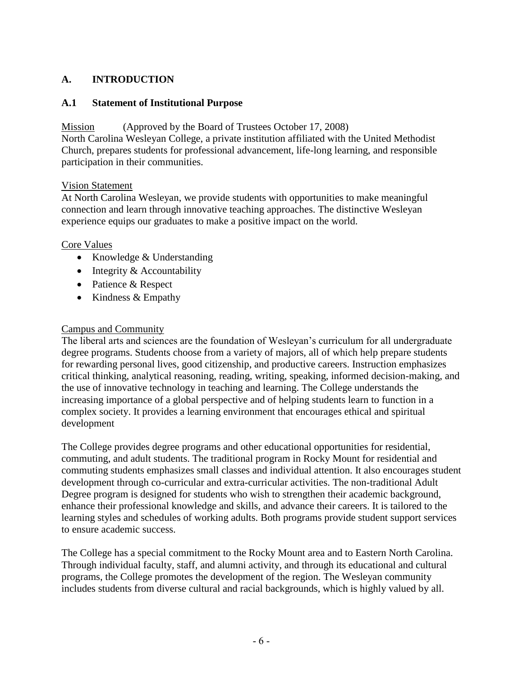## **A. INTRODUCTION**

#### **A.1 Statement of Institutional Purpose**

## Mission (Approved by the Board of Trustees October 17, 2008)

North Carolina Wesleyan College, a private institution affiliated with the United Methodist Church, prepares students for professional advancement, life-long learning, and responsible participation in their communities.

#### Vision Statement

At North Carolina Wesleyan, we provide students with opportunities to make meaningful connection and learn through innovative teaching approaches. The distinctive Wesleyan experience equips our graduates to make a positive impact on the world.

## Core Values

- Knowledge & Understanding
- Integrity & Accountability
- Patience & Respect
- Kindness & Empathy

# Campus and Community

The liberal arts and sciences are the foundation of Wesleyan's curriculum for all undergraduate degree programs. Students choose from a variety of majors, all of which help prepare students for rewarding personal lives, good citizenship, and productive careers. Instruction emphasizes critical thinking, analytical reasoning, reading, writing, speaking, informed decision-making, and the use of innovative technology in teaching and learning. The College understands the increasing importance of a global perspective and of helping students learn to function in a complex society. It provides a learning environment that encourages ethical and spiritual development

The College provides degree programs and other educational opportunities for residential, commuting, and adult students. The traditional program in Rocky Mount for residential and commuting students emphasizes small classes and individual attention. It also encourages student development through co-curricular and extra-curricular activities. The non-traditional Adult Degree program is designed for students who wish to strengthen their academic background, enhance their professional knowledge and skills, and advance their careers. It is tailored to the learning styles and schedules of working adults. Both programs provide student support services to ensure academic success.

The College has a special commitment to the Rocky Mount area and to Eastern North Carolina. Through individual faculty, staff, and alumni activity, and through its educational and cultural programs, the College promotes the development of the region. The Wesleyan community includes students from diverse cultural and racial backgrounds, which is highly valued by all.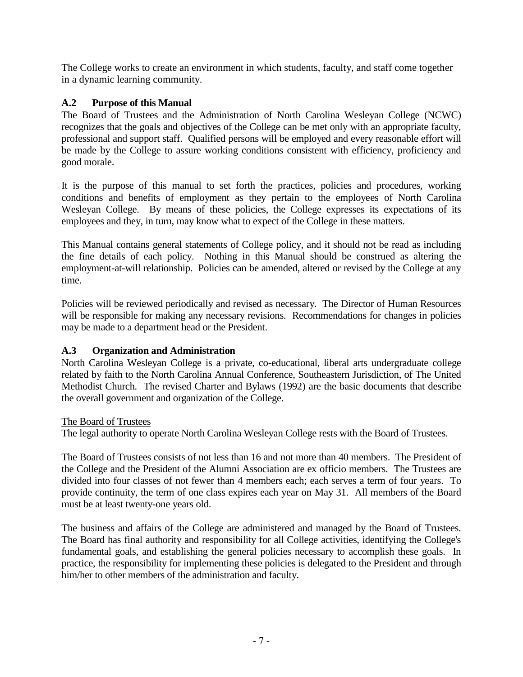The College works to create an environment in which students, faculty, and staff come together in a dynamic learning community.

## **A.2 Purpose of this Manual**

The Board of Trustees and the Administration of North Carolina Wesleyan College (NCWC) recognizes that the goals and objectives of the College can be met only with an appropriate faculty, professional and support staff. Qualified persons will be employed and every reasonable effort will be made by the College to assure working conditions consistent with efficiency, proficiency and good morale.

It is the purpose of this manual to set forth the practices, policies and procedures, working conditions and benefits of employment as they pertain to the employees of North Carolina Wesleyan College. By means of these policies, the College expresses its expectations of its employees and they, in turn, may know what to expect of the College in these matters.

This Manual contains general statements of College policy, and it should not be read as including the fine details of each policy. Nothing in this Manual should be construed as altering the employment-at-will relationship. Policies can be amended, altered or revised by the College at any time.

Policies will be reviewed periodically and revised as necessary. The Director of Human Resources will be responsible for making any necessary revisions. Recommendations for changes in policies may be made to a department head or the President.

#### **A.3 Organization and Administration**

North Carolina Wesleyan College is a private, co-educational, liberal arts undergraduate college related by faith to the North Carolina Annual Conference, Southeastern Jurisdiction, of The United Methodist Church. The revised Charter and Bylaws (1992) are the basic documents that describe the overall government and organization of the College.

#### The Board of Trustees

The legal authority to operate North Carolina Wesleyan College rests with the Board of Trustees.

The Board of Trustees consists of not less than 16 and not more than 40 members. The President of the College and the President of the Alumni Association are ex officio members. The Trustees are divided into four classes of not fewer than 4 members each; each serves a term of four years. To provide continuity, the term of one class expires each year on May 31. All members of the Board must be at least twenty-one years old.

The business and affairs of the College are administered and managed by the Board of Trustees. The Board has final authority and responsibility for all College activities, identifying the College's fundamental goals, and establishing the general policies necessary to accomplish these goals. In practice, the responsibility for implementing these policies is delegated to the President and through him/her to other members of the administration and faculty.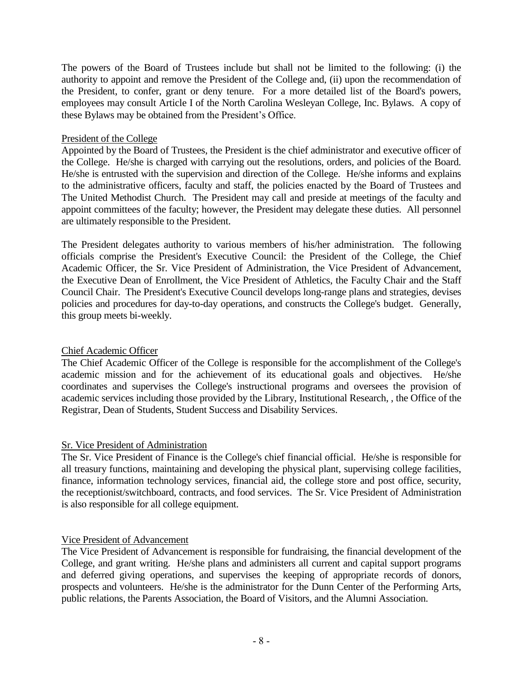The powers of the Board of Trustees include but shall not be limited to the following: (i) the authority to appoint and remove the President of the College and, (ii) upon the recommendation of the President, to confer, grant or deny tenure. For a more detailed list of the Board's powers, employees may consult Article I of the North Carolina Wesleyan College, Inc. Bylaws. A copy of these Bylaws may be obtained from the President's Office.

#### President of the College

Appointed by the Board of Trustees, the President is the chief administrator and executive officer of the College. He/she is charged with carrying out the resolutions, orders, and policies of the Board. He/she is entrusted with the supervision and direction of the College. He/she informs and explains to the administrative officers, faculty and staff, the policies enacted by the Board of Trustees and The United Methodist Church. The President may call and preside at meetings of the faculty and appoint committees of the faculty; however, the President may delegate these duties. All personnel are ultimately responsible to the President.

The President delegates authority to various members of his/her administration. The following officials comprise the President's Executive Council: the President of the College, the Chief Academic Officer, the Sr. Vice President of Administration, the Vice President of Advancement, the Executive Dean of Enrollment, the Vice President of Athletics, the Faculty Chair and the Staff Council Chair. The President's Executive Council develops long-range plans and strategies, devises policies and procedures for day-to-day operations, and constructs the College's budget. Generally, this group meets bi-weekly.

#### Chief Academic Officer

The Chief Academic Officer of the College is responsible for the accomplishment of the College's academic mission and for the achievement of its educational goals and objectives. He/she coordinates and supervises the College's instructional programs and oversees the provision of academic services including those provided by the Library, Institutional Research, , the Office of the Registrar, Dean of Students, Student Success and Disability Services.

#### Sr. Vice President of Administration

The Sr. Vice President of Finance is the College's chief financial official. He/she is responsible for all treasury functions, maintaining and developing the physical plant, supervising college facilities, finance, information technology services, financial aid, the college store and post office, security, the receptionist/switchboard, contracts, and food services. The Sr. Vice President of Administration is also responsible for all college equipment.

#### Vice President of Advancement

The Vice President of Advancement is responsible for fundraising, the financial development of the College, and grant writing. He/she plans and administers all current and capital support programs and deferred giving operations, and supervises the keeping of appropriate records of donors, prospects and volunteers. He/she is the administrator for the Dunn Center of the Performing Arts, public relations, the Parents Association, the Board of Visitors, and the Alumni Association.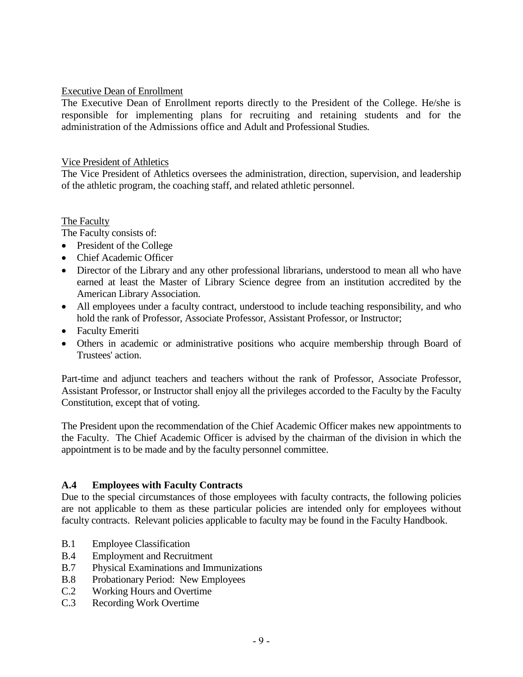#### Executive Dean of Enrollment

The Executive Dean of Enrollment reports directly to the President of the College. He/she is responsible for implementing plans for recruiting and retaining students and for the administration of the Admissions office and Adult and Professional Studies.

#### Vice President of Athletics

The Vice President of Athletics oversees the administration, direction, supervision, and leadership of the athletic program, the coaching staff, and related athletic personnel.

#### The Faculty

The Faculty consists of:

- President of the College
- Chief Academic Officer
- Director of the Library and any other professional librarians, understood to mean all who have earned at least the Master of Library Science degree from an institution accredited by the American Library Association.
- All employees under a faculty contract, understood to include teaching responsibility, and who hold the rank of Professor, Associate Professor, Assistant Professor, or Instructor;
- Faculty Emeriti
- Others in academic or administrative positions who acquire membership through Board of Trustees' action.

Part-time and adjunct teachers and teachers without the rank of Professor, Associate Professor, Assistant Professor, or Instructor shall enjoy all the privileges accorded to the Faculty by the Faculty Constitution, except that of voting.

The President upon the recommendation of the Chief Academic Officer makes new appointments to the Faculty. The Chief Academic Officer is advised by the chairman of the division in which the appointment is to be made and by the faculty personnel committee.

#### **A.4 Employees with Faculty Contracts**

Due to the special circumstances of those employees with faculty contracts, the following policies are not applicable to them as these particular policies are intended only for employees without faculty contracts. Relevant policies applicable to faculty may be found in the Faculty Handbook.

- B.1 Employee Classification
- B.4 Employment and Recruitment
- B.7 Physical Examinations and Immunizations
- B.8 Probationary Period: New Employees
- C.2 Working Hours and Overtime
- C.3 Recording Work Overtime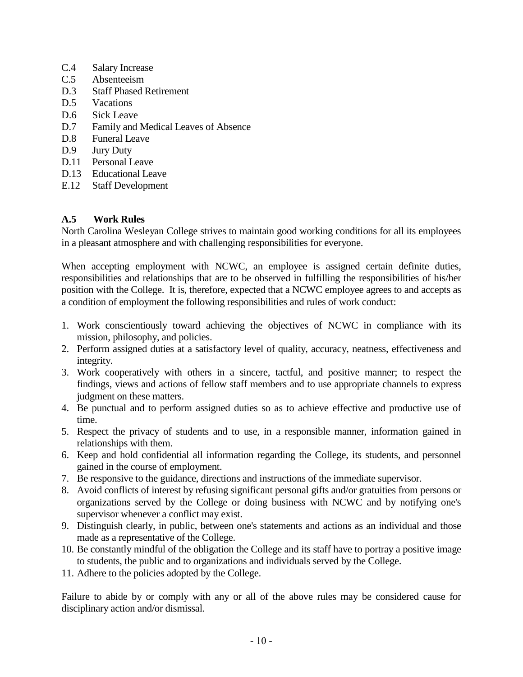- C.4 Salary Increase
- C.5 Absenteeism
- D.3 Staff Phased Retirement
- D.5 Vacations
- D.6 Sick Leave
- D.7 Family and Medical Leaves of Absence
- D.8 Funeral Leave
- D.9 Jury Duty
- D.11 Personal Leave
- D.13 Educational Leave
- E.12 Staff Development

#### **A.5 Work Rules**

North Carolina Wesleyan College strives to maintain good working conditions for all its employees in a pleasant atmosphere and with challenging responsibilities for everyone.

When accepting employment with NCWC, an employee is assigned certain definite duties, responsibilities and relationships that are to be observed in fulfilling the responsibilities of his/her position with the College. It is, therefore, expected that a NCWC employee agrees to and accepts as a condition of employment the following responsibilities and rules of work conduct:

- 1. Work conscientiously toward achieving the objectives of NCWC in compliance with its mission, philosophy, and policies.
- 2. Perform assigned duties at a satisfactory level of quality, accuracy, neatness, effectiveness and integrity.
- 3. Work cooperatively with others in a sincere, tactful, and positive manner; to respect the findings, views and actions of fellow staff members and to use appropriate channels to express judgment on these matters.
- 4. Be punctual and to perform assigned duties so as to achieve effective and productive use of time.
- 5. Respect the privacy of students and to use, in a responsible manner, information gained in relationships with them.
- 6. Keep and hold confidential all information regarding the College, its students, and personnel gained in the course of employment.
- 7. Be responsive to the guidance, directions and instructions of the immediate supervisor.
- 8. Avoid conflicts of interest by refusing significant personal gifts and/or gratuities from persons or organizations served by the College or doing business with NCWC and by notifying one's supervisor whenever a conflict may exist.
- 9. Distinguish clearly, in public, between one's statements and actions as an individual and those made as a representative of the College.
- 10. Be constantly mindful of the obligation the College and its staff have to portray a positive image to students, the public and to organizations and individuals served by the College.
- 11. Adhere to the policies adopted by the College.

Failure to abide by or comply with any or all of the above rules may be considered cause for disciplinary action and/or dismissal.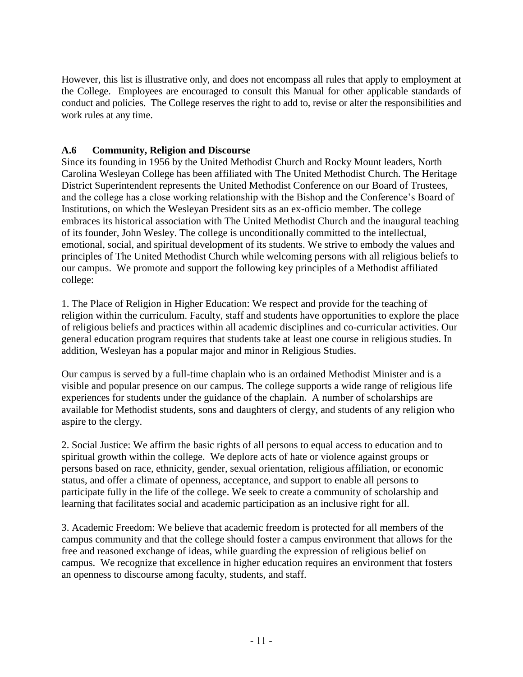However, this list is illustrative only, and does not encompass all rules that apply to employment at the College. Employees are encouraged to consult this Manual for other applicable standards of conduct and policies. The College reserves the right to add to, revise or alter the responsibilities and work rules at any time.

# **A.6 Community, Religion and Discourse**

Since its founding in 1956 by the United Methodist Church and Rocky Mount leaders, North Carolina Wesleyan College has been affiliated with The United Methodist Church. The Heritage District Superintendent represents the United Methodist Conference on our Board of Trustees, and the college has a close working relationship with the Bishop and the Conference's Board of Institutions, on which the Wesleyan President sits as an ex-officio member. The college embraces its historical association with The United Methodist Church and the inaugural teaching of its founder, John Wesley. The college is unconditionally committed to the intellectual, emotional, social, and spiritual development of its students. We strive to embody the values and principles of The United Methodist Church while welcoming persons with all religious beliefs to our campus. We promote and support the following key principles of a Methodist affiliated college:

1. The Place of Religion in Higher Education: We respect and provide for the teaching of religion within the curriculum. Faculty, staff and students have opportunities to explore the place of religious beliefs and practices within all academic disciplines and co-curricular activities. Our general education program requires that students take at least one course in religious studies. In addition, Wesleyan has a popular major and minor in Religious Studies.

Our campus is served by a full-time chaplain who is an ordained Methodist Minister and is a visible and popular presence on our campus. The college supports a wide range of religious life experiences for students under the guidance of the chaplain. A number of scholarships are available for Methodist students, sons and daughters of clergy, and students of any religion who aspire to the clergy.

2. Social Justice: We affirm the basic rights of all persons to equal access to education and to spiritual growth within the college. We deplore acts of hate or violence against groups or persons based on race, ethnicity, gender, sexual orientation, religious affiliation, or economic status, and offer a climate of openness, acceptance, and support to enable all persons to participate fully in the life of the college. We seek to create a community of scholarship and learning that facilitates social and academic participation as an inclusive right for all.

3. Academic Freedom: We believe that academic freedom is protected for all members of the campus community and that the college should foster a campus environment that allows for the free and reasoned exchange of ideas, while guarding the expression of religious belief on campus. We recognize that excellence in higher education requires an environment that fosters an openness to discourse among faculty, students, and staff.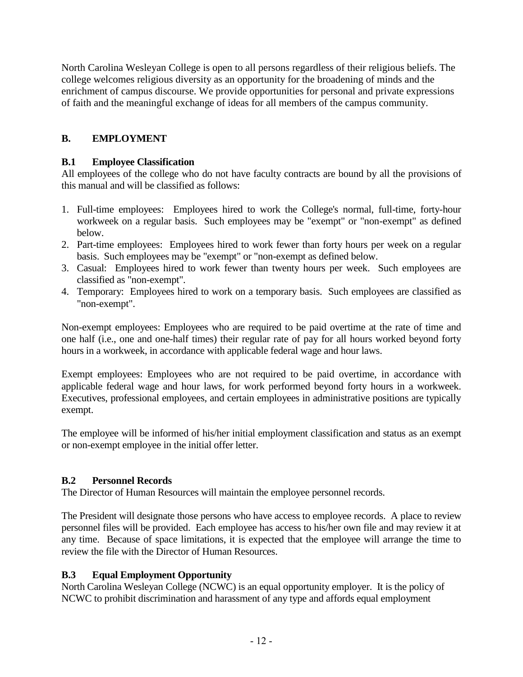North Carolina Wesleyan College is open to all persons regardless of their religious beliefs. The college welcomes religious diversity as an opportunity for the broadening of minds and the enrichment of campus discourse. We provide opportunities for personal and private expressions of faith and the meaningful exchange of ideas for all members of the campus community.

# **B. EMPLOYMENT**

## **B.1 Employee Classification**

All employees of the college who do not have faculty contracts are bound by all the provisions of this manual and will be classified as follows:

- 1. Full-time employees: Employees hired to work the College's normal, full-time, forty-hour workweek on a regular basis. Such employees may be "exempt" or "non-exempt" as defined below.
- 2. Part-time employees: Employees hired to work fewer than forty hours per week on a regular basis. Such employees may be "exempt" or "non-exempt as defined below.
- 3. Casual: Employees hired to work fewer than twenty hours per week. Such employees are classified as "non-exempt".
- 4. Temporary: Employees hired to work on a temporary basis. Such employees are classified as "non-exempt".

Non-exempt employees: Employees who are required to be paid overtime at the rate of time and one half (i.e., one and one-half times) their regular rate of pay for all hours worked beyond forty hours in a workweek, in accordance with applicable federal wage and hour laws.

Exempt employees: Employees who are not required to be paid overtime, in accordance with applicable federal wage and hour laws, for work performed beyond forty hours in a workweek. Executives, professional employees, and certain employees in administrative positions are typically exempt.

The employee will be informed of his/her initial employment classification and status as an exempt or non-exempt employee in the initial offer letter.

# **B.2 Personnel Records**

The Director of Human Resources will maintain the employee personnel records.

The President will designate those persons who have access to employee records. A place to review personnel files will be provided. Each employee has access to his/her own file and may review it at any time. Because of space limitations, it is expected that the employee will arrange the time to review the file with the Director of Human Resources.

# **B.3 Equal Employment Opportunity**

North Carolina Wesleyan College (NCWC) is an equal opportunity employer. It is the policy of NCWC to prohibit discrimination and harassment of any type and affords equal employment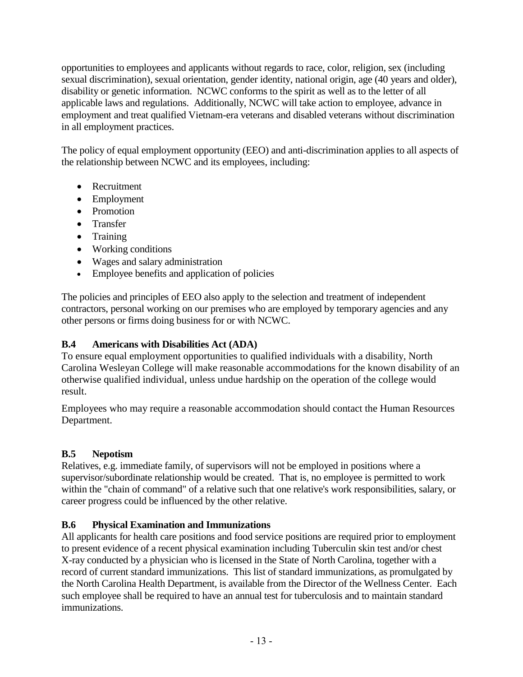opportunities to employees and applicants without regards to race, color, religion, sex (including sexual discrimination), sexual orientation, gender identity, national origin, age (40 years and older), disability or genetic information. NCWC conforms to the spirit as well as to the letter of all applicable laws and regulations. Additionally, NCWC will take action to employee, advance in employment and treat qualified Vietnam-era veterans and disabled veterans without discrimination in all employment practices.

The policy of equal employment opportunity (EEO) and anti-discrimination applies to all aspects of the relationship between NCWC and its employees, including:

- Recruitment
- Employment
- Promotion
- Transfer
- Training
- Working conditions
- Wages and salary administration
- Employee benefits and application of policies

The policies and principles of EEO also apply to the selection and treatment of independent contractors, personal working on our premises who are employed by temporary agencies and any other persons or firms doing business for or with NCWC.

# **B.4 Americans with Disabilities Act (ADA)**

To ensure equal employment opportunities to qualified individuals with a disability, North Carolina Wesleyan College will make reasonable accommodations for the known disability of an otherwise qualified individual, unless undue hardship on the operation of the college would result.

Employees who may require a reasonable accommodation should contact the Human Resources Department.

# **B.5 Nepotism**

Relatives, e.g. immediate family, of supervisors will not be employed in positions where a supervisor/subordinate relationship would be created. That is, no employee is permitted to work within the "chain of command" of a relative such that one relative's work responsibilities, salary, or career progress could be influenced by the other relative.

# **B.6 Physical Examination and Immunizations**

All applicants for health care positions and food service positions are required prior to employment to present evidence of a recent physical examination including Tuberculin skin test and/or chest X-ray conducted by a physician who is licensed in the State of North Carolina, together with a record of current standard immunizations. This list of standard immunizations, as promulgated by the North Carolina Health Department, is available from the Director of the Wellness Center. Each such employee shall be required to have an annual test for tuberculosis and to maintain standard immunizations.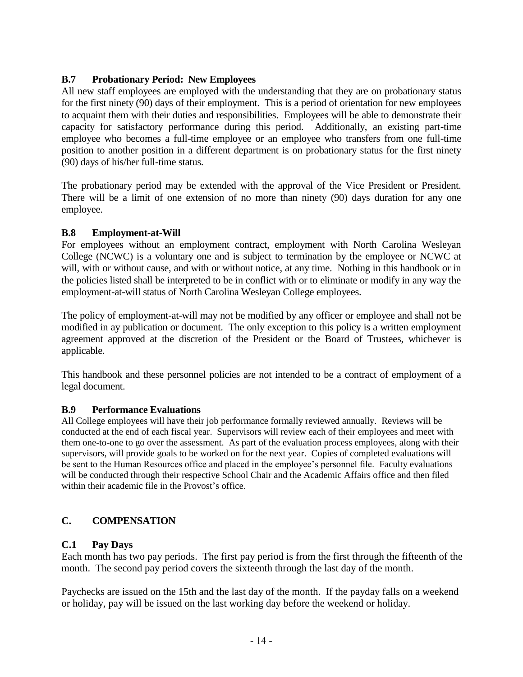## **B.7 Probationary Period: New Employees**

All new staff employees are employed with the understanding that they are on probationary status for the first ninety (90) days of their employment. This is a period of orientation for new employees to acquaint them with their duties and responsibilities. Employees will be able to demonstrate their capacity for satisfactory performance during this period. Additionally, an existing part-time employee who becomes a full-time employee or an employee who transfers from one full-time position to another position in a different department is on probationary status for the first ninety (90) days of his/her full-time status.

The probationary period may be extended with the approval of the Vice President or President. There will be a limit of one extension of no more than ninety (90) days duration for any one employee.

#### **B.8 Employment-at-Will**

For employees without an employment contract, employment with North Carolina Wesleyan College (NCWC) is a voluntary one and is subject to termination by the employee or NCWC at will, with or without cause, and with or without notice, at any time. Nothing in this handbook or in the policies listed shall be interpreted to be in conflict with or to eliminate or modify in any way the employment-at-will status of North Carolina Wesleyan College employees.

The policy of employment-at-will may not be modified by any officer or employee and shall not be modified in ay publication or document. The only exception to this policy is a written employment agreement approved at the discretion of the President or the Board of Trustees, whichever is applicable.

This handbook and these personnel policies are not intended to be a contract of employment of a legal document.

#### **B.9 Performance Evaluations**

All College employees will have their job performance formally reviewed annually. Reviews will be conducted at the end of each fiscal year. Supervisors will review each of their employees and meet with them one-to-one to go over the assessment. As part of the evaluation process employees, along with their supervisors, will provide goals to be worked on for the next year. Copies of completed evaluations will be sent to the Human Resources office and placed in the employee's personnel file. Faculty evaluations will be conducted through their respective School Chair and the Academic Affairs office and then filed within their academic file in the Provost's office.

# **C. COMPENSATION**

#### **C.1 Pay Days**

Each month has two pay periods. The first pay period is from the first through the fifteenth of the month. The second pay period covers the sixteenth through the last day of the month.

Paychecks are issued on the 15th and the last day of the month. If the payday falls on a weekend or holiday, pay will be issued on the last working day before the weekend or holiday.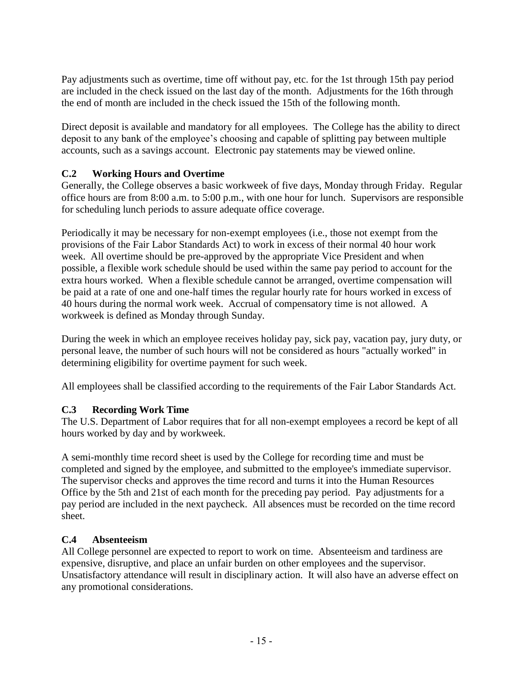Pay adjustments such as overtime, time off without pay, etc. for the 1st through 15th pay period are included in the check issued on the last day of the month. Adjustments for the 16th through the end of month are included in the check issued the 15th of the following month.

Direct deposit is available and mandatory for all employees. The College has the ability to direct deposit to any bank of the employee's choosing and capable of splitting pay between multiple accounts, such as a savings account. Electronic pay statements may be viewed online.

# **C.2 Working Hours and Overtime**

Generally, the College observes a basic workweek of five days, Monday through Friday. Regular office hours are from 8:00 a.m. to 5:00 p.m., with one hour for lunch. Supervisors are responsible for scheduling lunch periods to assure adequate office coverage.

Periodically it may be necessary for non-exempt employees (i.e., those not exempt from the provisions of the Fair Labor Standards Act) to work in excess of their normal 40 hour work week. All overtime should be pre-approved by the appropriate Vice President and when possible, a flexible work schedule should be used within the same pay period to account for the extra hours worked. When a flexible schedule cannot be arranged, overtime compensation will be paid at a rate of one and one-half times the regular hourly rate for hours worked in excess of 40 hours during the normal work week. Accrual of compensatory time is not allowed. A workweek is defined as Monday through Sunday.

During the week in which an employee receives holiday pay, sick pay, vacation pay, jury duty, or personal leave, the number of such hours will not be considered as hours "actually worked" in determining eligibility for overtime payment for such week.

All employees shall be classified according to the requirements of the Fair Labor Standards Act.

# **C.3 Recording Work Time**

The U.S. Department of Labor requires that for all non-exempt employees a record be kept of all hours worked by day and by workweek.

A semi-monthly time record sheet is used by the College for recording time and must be completed and signed by the employee, and submitted to the employee's immediate supervisor. The supervisor checks and approves the time record and turns it into the Human Resources Office by the 5th and 21st of each month for the preceding pay period. Pay adjustments for a pay period are included in the next paycheck. All absences must be recorded on the time record sheet.

# **C.4 Absenteeism**

All College personnel are expected to report to work on time. Absenteeism and tardiness are expensive, disruptive, and place an unfair burden on other employees and the supervisor. Unsatisfactory attendance will result in disciplinary action. It will also have an adverse effect on any promotional considerations.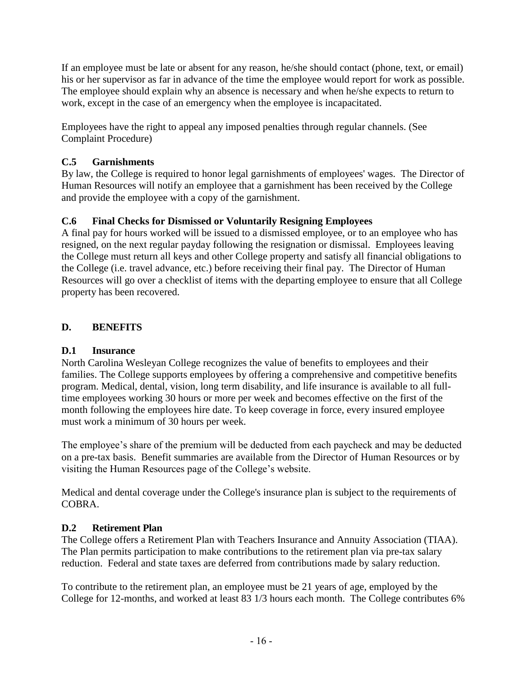If an employee must be late or absent for any reason, he/she should contact (phone, text, or email) his or her supervisor as far in advance of the time the employee would report for work as possible. The employee should explain why an absence is necessary and when he/she expects to return to work, except in the case of an emergency when the employee is incapacitated.

Employees have the right to appeal any imposed penalties through regular channels. (See Complaint Procedure)

# **C.5 Garnishments**

By law, the College is required to honor legal garnishments of employees' wages. The Director of Human Resources will notify an employee that a garnishment has been received by the College and provide the employee with a copy of the garnishment.

# **C.6 Final Checks for Dismissed or Voluntarily Resigning Employees**

A final pay for hours worked will be issued to a dismissed employee, or to an employee who has resigned, on the next regular payday following the resignation or dismissal. Employees leaving the College must return all keys and other College property and satisfy all financial obligations to the College (i.e. travel advance, etc.) before receiving their final pay. The Director of Human Resources will go over a checklist of items with the departing employee to ensure that all College property has been recovered.

# **D. BENEFITS**

# **D.1 Insurance**

North Carolina Wesleyan College recognizes the value of benefits to employees and their families. The College supports employees by offering a comprehensive and competitive benefits program. Medical, dental, vision, long term disability, and life insurance is available to all fulltime employees working 30 hours or more per week and becomes effective on the first of the month following the employees hire date. To keep coverage in force, every insured employee must work a minimum of 30 hours per week.

The employee's share of the premium will be deducted from each paycheck and may be deducted on a pre-tax basis. Benefit summaries are available from the Director of Human Resources or by visiting the Human Resources page of the College's website.

Medical and dental coverage under the College's insurance plan is subject to the requirements of COBRA.

# **D.2 Retirement Plan**

The College offers a Retirement Plan with Teachers Insurance and Annuity Association (TIAA). The Plan permits participation to make contributions to the retirement plan via pre-tax salary reduction. Federal and state taxes are deferred from contributions made by salary reduction.

To contribute to the retirement plan, an employee must be 21 years of age, employed by the College for 12-months, and worked at least 83 1/3 hours each month. The College contributes 6%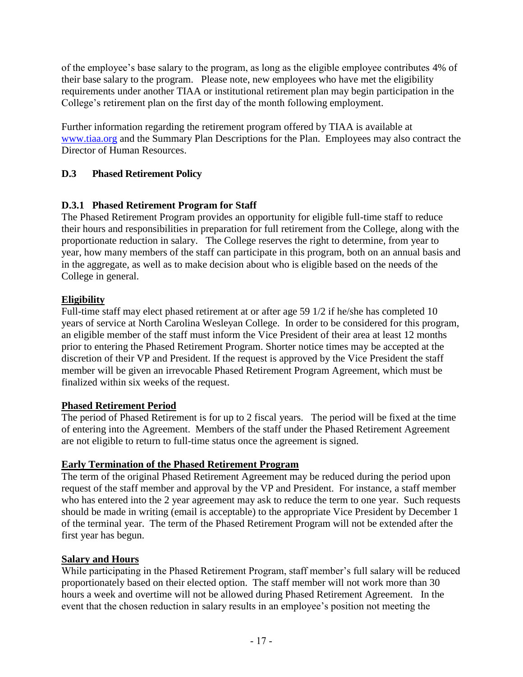of the employee's base salary to the program, as long as the eligible employee contributes 4% of their base salary to the program. Please note, new employees who have met the eligibility requirements under another TIAA or institutional retirement plan may begin participation in the College's retirement plan on the first day of the month following employment.

Further information regarding the retirement program offered by TIAA is available at [www.tiaa.org](http://www.tiaa.org/) and the Summary Plan Descriptions for the Plan. Employees may also contract the Director of Human Resources.

# **D.3 Phased Retirement Policy**

# **D.3.1 Phased Retirement Program for Staff**

The Phased Retirement Program provides an opportunity for eligible full-time staff to reduce their hours and responsibilities in preparation for full retirement from the College, along with the proportionate reduction in salary. The College reserves the right to determine, from year to year, how many members of the staff can participate in this program, both on an annual basis and in the aggregate, as well as to make decision about who is eligible based on the needs of the College in general.

# **Eligibility**

Full-time staff may elect phased retirement at or after age 59 1/2 if he/she has completed 10 years of service at North Carolina Wesleyan College. In order to be considered for this program, an eligible member of the staff must inform the Vice President of their area at least 12 months prior to entering the Phased Retirement Program. Shorter notice times may be accepted at the discretion of their VP and President. If the request is approved by the Vice President the staff member will be given an irrevocable Phased Retirement Program Agreement, which must be finalized within six weeks of the request.

# **Phased Retirement Period**

The period of Phased Retirement is for up to 2 fiscal years. The period will be fixed at the time of entering into the Agreement. Members of the staff under the Phased Retirement Agreement are not eligible to return to full-time status once the agreement is signed.

# **Early Termination of the Phased Retirement Program**

The term of the original Phased Retirement Agreement may be reduced during the period upon request of the staff member and approval by the VP and President. For instance, a staff member who has entered into the 2 year agreement may ask to reduce the term to one year. Such requests should be made in writing (email is acceptable) to the appropriate Vice President by December 1 of the terminal year. The term of the Phased Retirement Program will not be extended after the first year has begun.

# **Salary and Hours**

While participating in the Phased Retirement Program, staff member's full salary will be reduced proportionately based on their elected option. The staff member will not work more than 30 hours a week and overtime will not be allowed during Phased Retirement Agreement. In the event that the chosen reduction in salary results in an employee's position not meeting the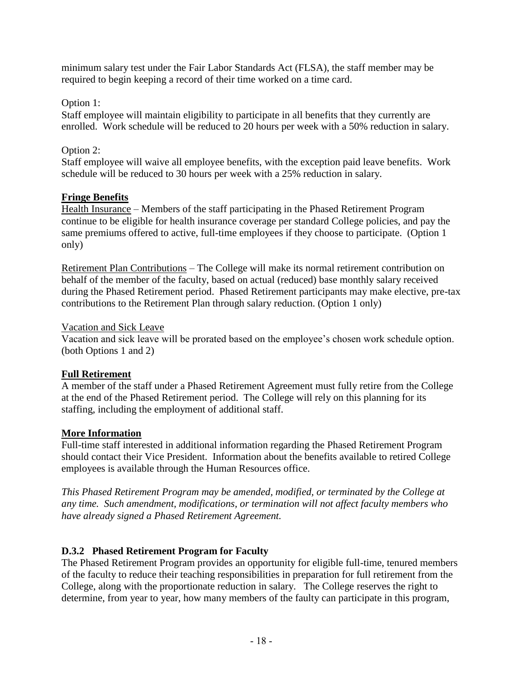minimum salary test under the Fair Labor Standards Act (FLSA), the staff member may be required to begin keeping a record of their time worked on a time card.

#### Option 1:

Staff employee will maintain eligibility to participate in all benefits that they currently are enrolled. Work schedule will be reduced to 20 hours per week with a 50% reduction in salary.

# Option 2:

Staff employee will waive all employee benefits, with the exception paid leave benefits. Work schedule will be reduced to 30 hours per week with a 25% reduction in salary.

## **Fringe Benefits**

Health Insurance – Members of the staff participating in the Phased Retirement Program continue to be eligible for health insurance coverage per standard College policies, and pay the same premiums offered to active, full-time employees if they choose to participate. (Option 1 only)

Retirement Plan Contributions – The College will make its normal retirement contribution on behalf of the member of the faculty, based on actual (reduced) base monthly salary received during the Phased Retirement period. Phased Retirement participants may make elective, pre-tax contributions to the Retirement Plan through salary reduction. (Option 1 only)

#### Vacation and Sick Leave

Vacation and sick leave will be prorated based on the employee's chosen work schedule option. (both Options 1 and 2)

#### **Full Retirement**

A member of the staff under a Phased Retirement Agreement must fully retire from the College at the end of the Phased Retirement period. The College will rely on this planning for its staffing, including the employment of additional staff.

#### **More Information**

Full-time staff interested in additional information regarding the Phased Retirement Program should contact their Vice President. Information about the benefits available to retired College employees is available through the Human Resources office.

*This Phased Retirement Program may be amended, modified, or terminated by the College at any time. Such amendment, modifications, or termination will not affect faculty members who have already signed a Phased Retirement Agreement.*

# **D.3.2 Phased Retirement Program for Faculty**

The Phased Retirement Program provides an opportunity for eligible full-time, tenured members of the faculty to reduce their teaching responsibilities in preparation for full retirement from the College, along with the proportionate reduction in salary. The College reserves the right to determine, from year to year, how many members of the faulty can participate in this program,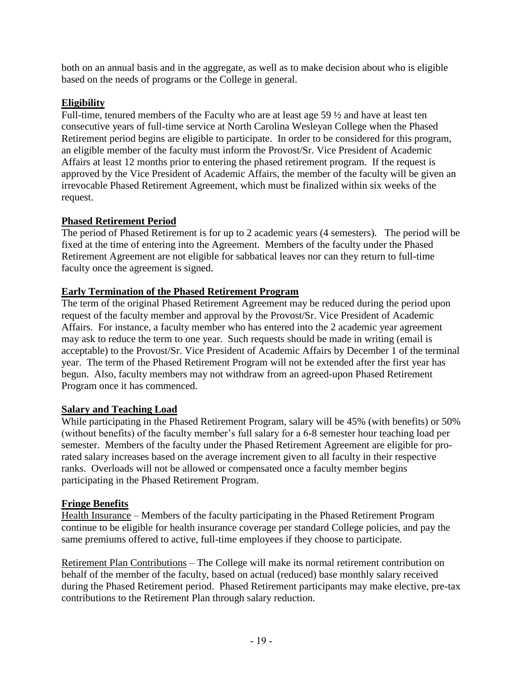both on an annual basis and in the aggregate, as well as to make decision about who is eligible based on the needs of programs or the College in general.

## **Eligibility**

Full-time, tenured members of the Faculty who are at least age 59 ½ and have at least ten consecutive years of full-time service at North Carolina Wesleyan College when the Phased Retirement period begins are eligible to participate. In order to be considered for this program, an eligible member of the faculty must inform the Provost/Sr. Vice President of Academic Affairs at least 12 months prior to entering the phased retirement program. If the request is approved by the Vice President of Academic Affairs, the member of the faculty will be given an irrevocable Phased Retirement Agreement, which must be finalized within six weeks of the request.

## **Phased Retirement Period**

The period of Phased Retirement is for up to 2 academic years (4 semesters). The period will be fixed at the time of entering into the Agreement. Members of the faculty under the Phased Retirement Agreement are not eligible for sabbatical leaves nor can they return to full-time faculty once the agreement is signed.

## **Early Termination of the Phased Retirement Program**

The term of the original Phased Retirement Agreement may be reduced during the period upon request of the faculty member and approval by the Provost/Sr. Vice President of Academic Affairs. For instance, a faculty member who has entered into the 2 academic year agreement may ask to reduce the term to one year. Such requests should be made in writing (email is acceptable) to the Provost/Sr. Vice President of Academic Affairs by December 1 of the terminal year. The term of the Phased Retirement Program will not be extended after the first year has begun. Also, faculty members may not withdraw from an agreed-upon Phased Retirement Program once it has commenced.

# **Salary and Teaching Load**

While participating in the Phased Retirement Program, salary will be 45% (with benefits) or 50% (without benefits) of the faculty member's full salary for a 6-8 semester hour teaching load per semester. Members of the faculty under the Phased Retirement Agreement are eligible for prorated salary increases based on the average increment given to all faculty in their respective ranks. Overloads will not be allowed or compensated once a faculty member begins participating in the Phased Retirement Program.

#### **Fringe Benefits**

Health Insurance – Members of the faculty participating in the Phased Retirement Program continue to be eligible for health insurance coverage per standard College policies, and pay the same premiums offered to active, full-time employees if they choose to participate.

Retirement Plan Contributions – The College will make its normal retirement contribution on behalf of the member of the faculty, based on actual (reduced) base monthly salary received during the Phased Retirement period. Phased Retirement participants may make elective, pre-tax contributions to the Retirement Plan through salary reduction.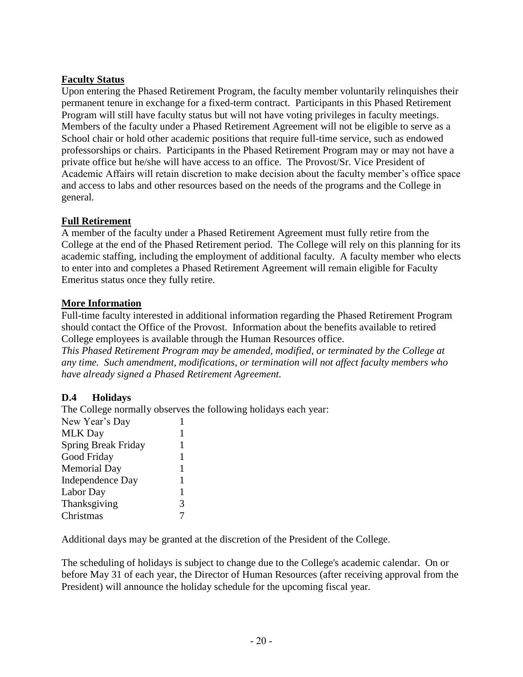## **Faculty Status**

Upon entering the Phased Retirement Program, the faculty member voluntarily relinquishes their permanent tenure in exchange for a fixed-term contract. Participants in this Phased Retirement Program will still have faculty status but will not have voting privileges in faculty meetings. Members of the faculty under a Phased Retirement Agreement will not be eligible to serve as a School chair or hold other academic positions that require full-time service, such as endowed professorships or chairs. Participants in the Phased Retirement Program may or may not have a private office but he/she will have access to an office. The Provost/Sr. Vice President of Academic Affairs will retain discretion to make decision about the faculty member's office space and access to labs and other resources based on the needs of the programs and the College in general.

## **Full Retirement**

A member of the faculty under a Phased Retirement Agreement must fully retire from the College at the end of the Phased Retirement period. The College will rely on this planning for its academic staffing, including the employment of additional faculty. A faculty member who elects to enter into and completes a Phased Retirement Agreement will remain eligible for Faculty Emeritus status once they fully retire.

#### **More Information**

Full-time faculty interested in additional information regarding the Phased Retirement Program should contact the Office of the Provost. Information about the benefits available to retired College employees is available through the Human Resources office.

*This Phased Retirement Program may be amended, modified, or terminated by the College at any time. Such amendment, modifications, or termination will not affect faculty members who have already signed a Phased Retirement Agreement.*

#### **D.4 Holidays**

The College normally observes the following holidays each year: New Year's Day 1 MLK Day 1 Spring Break Friday 1 Good Friday 1 Memorial Day 1 Independence Day 1 Labor Day 1 Thanksgiving 3 Christmas 7

Additional days may be granted at the discretion of the President of the College.

The scheduling of holidays is subject to change due to the College's academic calendar. On or before May 31 of each year, the Director of Human Resources (after receiving approval from the President) will announce the holiday schedule for the upcoming fiscal year.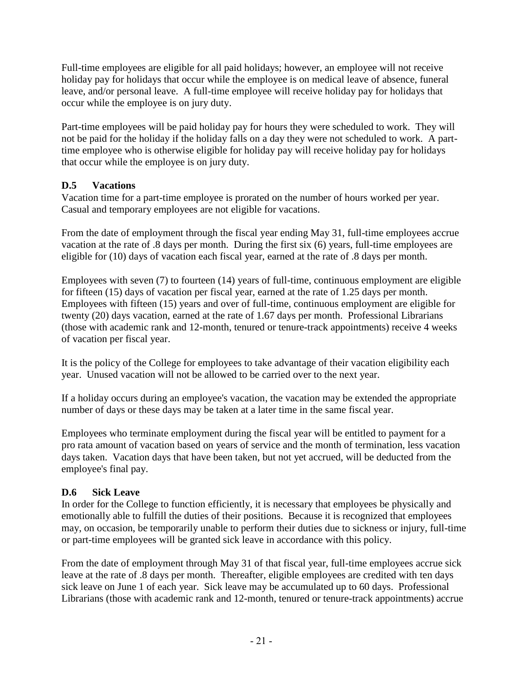Full-time employees are eligible for all paid holidays; however, an employee will not receive holiday pay for holidays that occur while the employee is on medical leave of absence, funeral leave, and/or personal leave. A full-time employee will receive holiday pay for holidays that occur while the employee is on jury duty.

Part-time employees will be paid holiday pay for hours they were scheduled to work. They will not be paid for the holiday if the holiday falls on a day they were not scheduled to work. A parttime employee who is otherwise eligible for holiday pay will receive holiday pay for holidays that occur while the employee is on jury duty.

# **D.5 Vacations**

Vacation time for a part-time employee is prorated on the number of hours worked per year. Casual and temporary employees are not eligible for vacations.

From the date of employment through the fiscal year ending May 31, full-time employees accrue vacation at the rate of .8 days per month. During the first six (6) years, full-time employees are eligible for (10) days of vacation each fiscal year, earned at the rate of .8 days per month.

Employees with seven (7) to fourteen (14) years of full-time, continuous employment are eligible for fifteen (15) days of vacation per fiscal year, earned at the rate of 1.25 days per month. Employees with fifteen (15) years and over of full-time, continuous employment are eligible for twenty (20) days vacation, earned at the rate of 1.67 days per month. Professional Librarians (those with academic rank and 12-month, tenured or tenure-track appointments) receive 4 weeks of vacation per fiscal year.

It is the policy of the College for employees to take advantage of their vacation eligibility each year. Unused vacation will not be allowed to be carried over to the next year.

If a holiday occurs during an employee's vacation, the vacation may be extended the appropriate number of days or these days may be taken at a later time in the same fiscal year.

Employees who terminate employment during the fiscal year will be entitled to payment for a pro rata amount of vacation based on years of service and the month of termination, less vacation days taken. Vacation days that have been taken, but not yet accrued, will be deducted from the employee's final pay.

# **D.6 Sick Leave**

In order for the College to function efficiently, it is necessary that employees be physically and emotionally able to fulfill the duties of their positions. Because it is recognized that employees may, on occasion, be temporarily unable to perform their duties due to sickness or injury, full-time or part-time employees will be granted sick leave in accordance with this policy.

From the date of employment through May 31 of that fiscal year, full-time employees accrue sick leave at the rate of .8 days per month. Thereafter, eligible employees are credited with ten days sick leave on June 1 of each year. Sick leave may be accumulated up to 60 days. Professional Librarians (those with academic rank and 12-month, tenured or tenure-track appointments) accrue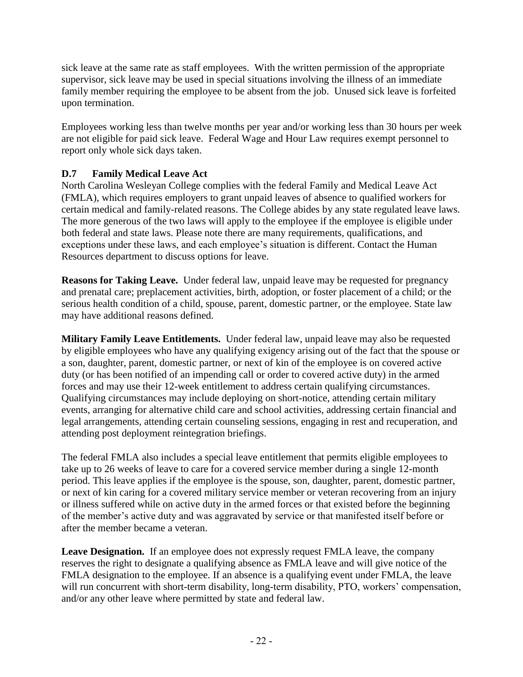sick leave at the same rate as staff employees. With the written permission of the appropriate supervisor, sick leave may be used in special situations involving the illness of an immediate family member requiring the employee to be absent from the job. Unused sick leave is forfeited upon termination.

Employees working less than twelve months per year and/or working less than 30 hours per week are not eligible for paid sick leave. Federal Wage and Hour Law requires exempt personnel to report only whole sick days taken.

# **D.7 Family Medical Leave Act**

North Carolina Wesleyan College complies with the federal Family and Medical Leave Act (FMLA), which requires employers to grant unpaid leaves of absence to qualified workers for certain medical and family-related reasons. The College abides by any state regulated leave laws. The more generous of the two laws will apply to the employee if the employee is eligible under both federal and state laws. Please note there are many requirements, qualifications, and exceptions under these laws, and each employee's situation is different. Contact the Human Resources department to discuss options for leave.

**Reasons for Taking Leave.** Under federal law, unpaid leave may be requested for pregnancy and prenatal care; preplacement activities, birth, adoption, or foster placement of a child; or the serious health condition of a child, spouse, parent, domestic partner, or the employee. State law may have additional reasons defined.

**Military Family Leave Entitlements.** Under federal law, unpaid leave may also be requested by eligible employees who have any qualifying exigency arising out of the fact that the spouse or a son, daughter, parent, domestic partner, or next of kin of the employee is on covered active duty (or has been notified of an impending call or order to covered active duty) in the armed forces and may use their 12-week entitlement to address certain qualifying circumstances. Qualifying circumstances may include deploying on short-notice, attending certain military events, arranging for alternative child care and school activities, addressing certain financial and legal arrangements, attending certain counseling sessions, engaging in rest and recuperation, and attending post deployment reintegration briefings.

The federal FMLA also includes a special leave entitlement that permits eligible employees to take up to 26 weeks of leave to care for a covered service member during a single 12-month period. This leave applies if the employee is the spouse, son, daughter, parent, domestic partner, or next of kin caring for a covered military service member or veteran recovering from an injury or illness suffered while on active duty in the armed forces or that existed before the beginning of the member's active duty and was aggravated by service or that manifested itself before or after the member became a veteran.

Leave Designation. If an employee does not expressly request FMLA leave, the company reserves the right to designate a qualifying absence as FMLA leave and will give notice of the FMLA designation to the employee. If an absence is a qualifying event under FMLA, the leave will run concurrent with short-term disability, long-term disability, PTO, workers' compensation, and/or any other leave where permitted by state and federal law.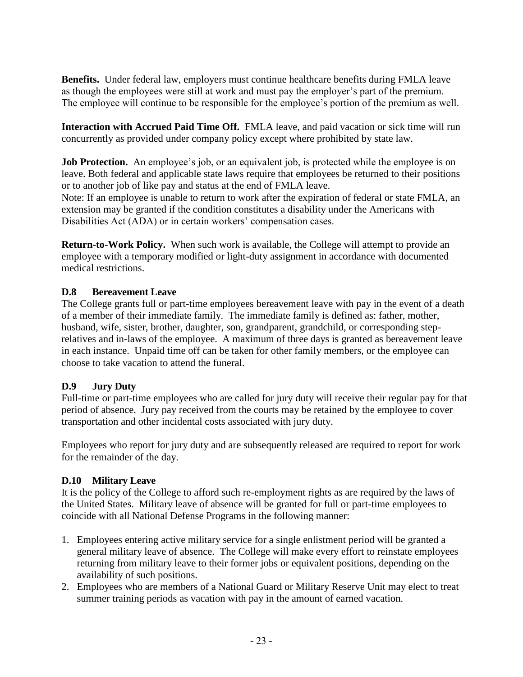**Benefits.** Under federal law, employers must continue healthcare benefits during FMLA leave as though the employees were still at work and must pay the employer's part of the premium. The employee will continue to be responsible for the employee's portion of the premium as well.

**Interaction with Accrued Paid Time Off.** FMLA leave, and paid vacation or sick time will run concurrently as provided under company policy except where prohibited by state law.

**Job Protection.** An employee's job, or an equivalent job, is protected while the employee is on leave. Both federal and applicable state laws require that employees be returned to their positions or to another job of like pay and status at the end of FMLA leave.

Note: If an employee is unable to return to work after the expiration of federal or state FMLA, an extension may be granted if the condition constitutes a disability under the Americans with Disabilities Act (ADA) or in certain workers' compensation cases.

**Return-to-Work Policy.** When such work is available, the College will attempt to provide an employee with a temporary modified or light-duty assignment in accordance with documented medical restrictions.

## **D.8 Bereavement Leave**

The College grants full or part-time employees bereavement leave with pay in the event of a death of a member of their immediate family. The immediate family is defined as: father, mother, husband, wife, sister, brother, daughter, son, grandparent, grandchild, or corresponding steprelatives and in-laws of the employee. A maximum of three days is granted as bereavement leave in each instance. Unpaid time off can be taken for other family members, or the employee can choose to take vacation to attend the funeral.

# **D.9 Jury Duty**

Full-time or part-time employees who are called for jury duty will receive their regular pay for that period of absence. Jury pay received from the courts may be retained by the employee to cover transportation and other incidental costs associated with jury duty.

Employees who report for jury duty and are subsequently released are required to report for work for the remainder of the day.

#### **D.10 Military Leave**

It is the policy of the College to afford such re-employment rights as are required by the laws of the United States. Military leave of absence will be granted for full or part-time employees to coincide with all National Defense Programs in the following manner:

- 1. Employees entering active military service for a single enlistment period will be granted a general military leave of absence. The College will make every effort to reinstate employees returning from military leave to their former jobs or equivalent positions, depending on the availability of such positions.
- 2. Employees who are members of a National Guard or Military Reserve Unit may elect to treat summer training periods as vacation with pay in the amount of earned vacation.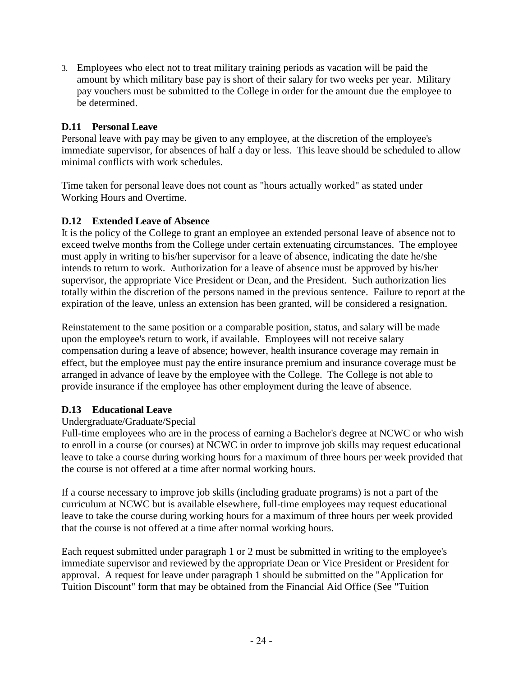3. Employees who elect not to treat military training periods as vacation will be paid the amount by which military base pay is short of their salary for two weeks per year. Military pay vouchers must be submitted to the College in order for the amount due the employee to be determined.

## **D.11 Personal Leave**

Personal leave with pay may be given to any employee, at the discretion of the employee's immediate supervisor, for absences of half a day or less. This leave should be scheduled to allow minimal conflicts with work schedules.

Time taken for personal leave does not count as "hours actually worked" as stated under Working Hours and Overtime.

## **D.12 Extended Leave of Absence**

It is the policy of the College to grant an employee an extended personal leave of absence not to exceed twelve months from the College under certain extenuating circumstances. The employee must apply in writing to his/her supervisor for a leave of absence, indicating the date he/she intends to return to work. Authorization for a leave of absence must be approved by his/her supervisor, the appropriate Vice President or Dean, and the President. Such authorization lies totally within the discretion of the persons named in the previous sentence. Failure to report at the expiration of the leave, unless an extension has been granted, will be considered a resignation.

Reinstatement to the same position or a comparable position, status, and salary will be made upon the employee's return to work, if available. Employees will not receive salary compensation during a leave of absence; however, health insurance coverage may remain in effect, but the employee must pay the entire insurance premium and insurance coverage must be arranged in advance of leave by the employee with the College. The College is not able to provide insurance if the employee has other employment during the leave of absence.

#### **D.13 Educational Leave**

#### Undergraduate/Graduate/Special

Full-time employees who are in the process of earning a Bachelor's degree at NCWC or who wish to enroll in a course (or courses) at NCWC in order to improve job skills may request educational leave to take a course during working hours for a maximum of three hours per week provided that the course is not offered at a time after normal working hours.

If a course necessary to improve job skills (including graduate programs) is not a part of the curriculum at NCWC but is available elsewhere, full-time employees may request educational leave to take the course during working hours for a maximum of three hours per week provided that the course is not offered at a time after normal working hours.

Each request submitted under paragraph 1 or 2 must be submitted in writing to the employee's immediate supervisor and reviewed by the appropriate Dean or Vice President or President for approval. A request for leave under paragraph 1 should be submitted on the "Application for Tuition Discount" form that may be obtained from the Financial Aid Office (See "Tuition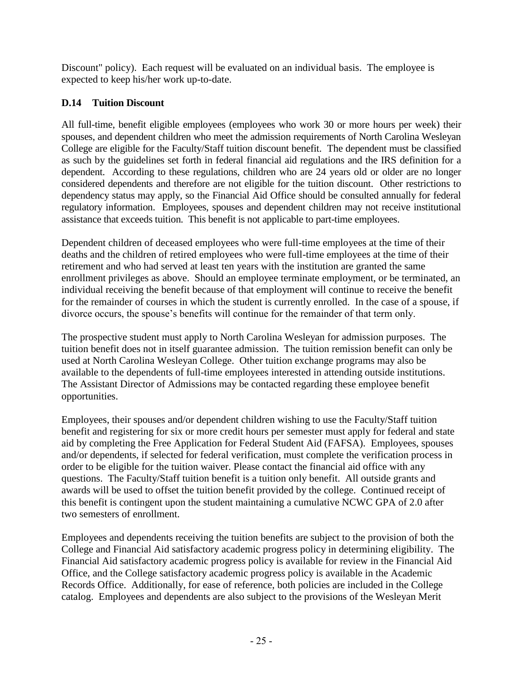Discount" policy). Each request will be evaluated on an individual basis. The employee is expected to keep his/her work up-to-date.

# **D.14 Tuition Discount**

All full-time, benefit eligible employees (employees who work 30 or more hours per week) their spouses, and dependent children who meet the admission requirements of North Carolina Wesleyan College are eligible for the Faculty/Staff tuition discount benefit. The dependent must be classified as such by the guidelines set forth in federal financial aid regulations and the IRS definition for a dependent. According to these regulations, children who are 24 years old or older are no longer considered dependents and therefore are not eligible for the tuition discount. Other restrictions to dependency status may apply, so the Financial Aid Office should be consulted annually for federal regulatory information. Employees, spouses and dependent children may not receive institutional assistance that exceeds tuition. This benefit is not applicable to part-time employees.

Dependent children of deceased employees who were full-time employees at the time of their deaths and the children of retired employees who were full-time employees at the time of their retirement and who had served at least ten years with the institution are granted the same enrollment privileges as above. Should an employee terminate employment, or be terminated, an individual receiving the benefit because of that employment will continue to receive the benefit for the remainder of courses in which the student is currently enrolled. In the case of a spouse, if divorce occurs, the spouse's benefits will continue for the remainder of that term only.

The prospective student must apply to North Carolina Wesleyan for admission purposes. The tuition benefit does not in itself guarantee admission. The tuition remission benefit can only be used at North Carolina Wesleyan College. Other tuition exchange programs may also be available to the dependents of full-time employees interested in attending outside institutions. The Assistant Director of Admissions may be contacted regarding these employee benefit opportunities.

Employees, their spouses and/or dependent children wishing to use the Faculty/Staff tuition benefit and registering for six or more credit hours per semester must apply for federal and state aid by completing the Free Application for Federal Student Aid (FAFSA). Employees, spouses and/or dependents, if selected for federal verification, must complete the verification process in order to be eligible for the tuition waiver. Please contact the financial aid office with any questions. The Faculty/Staff tuition benefit is a tuition only benefit. All outside grants and awards will be used to offset the tuition benefit provided by the college. Continued receipt of this benefit is contingent upon the student maintaining a cumulative NCWC GPA of 2.0 after two semesters of enrollment.

Employees and dependents receiving the tuition benefits are subject to the provision of both the College and Financial Aid satisfactory academic progress policy in determining eligibility. The Financial Aid satisfactory academic progress policy is available for review in the Financial Aid Office, and the College satisfactory academic progress policy is available in the Academic Records Office. Additionally, for ease of reference, both policies are included in the College catalog. Employees and dependents are also subject to the provisions of the Wesleyan Merit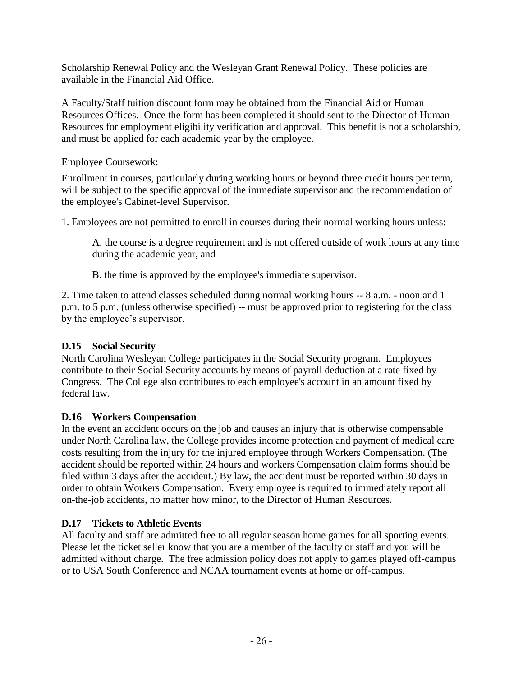Scholarship Renewal Policy and the Wesleyan Grant Renewal Policy. These policies are available in the Financial Aid Office.

A Faculty/Staff tuition discount form may be obtained from the Financial Aid or Human Resources Offices. Once the form has been completed it should sent to the Director of Human Resources for employment eligibility verification and approval. This benefit is not a scholarship, and must be applied for each academic year by the employee.

Employee Coursework:

Enrollment in courses, particularly during working hours or beyond three credit hours per term, will be subject to the specific approval of the immediate supervisor and the recommendation of the employee's Cabinet-level Supervisor.

1. Employees are not permitted to enroll in courses during their normal working hours unless:

A. the course is a degree requirement and is not offered outside of work hours at any time during the academic year, and

B. the time is approved by the employee's immediate supervisor.

2. Time taken to attend classes scheduled during normal working hours -- 8 a.m. - noon and 1 p.m. to 5 p.m. (unless otherwise specified) -- must be approved prior to registering for the class by the employee's supervisor.

# **D.15 Social Security**

North Carolina Wesleyan College participates in the Social Security program. Employees contribute to their Social Security accounts by means of payroll deduction at a rate fixed by Congress. The College also contributes to each employee's account in an amount fixed by federal law.

# **D.16 Workers Compensation**

In the event an accident occurs on the job and causes an injury that is otherwise compensable under North Carolina law, the College provides income protection and payment of medical care costs resulting from the injury for the injured employee through Workers Compensation. (The accident should be reported within 24 hours and workers Compensation claim forms should be filed within 3 days after the accident.) By law, the accident must be reported within 30 days in order to obtain Workers Compensation. Every employee is required to immediately report all on-the-job accidents, no matter how minor, to the Director of Human Resources.

# **D.17 Tickets to Athletic Events**

All faculty and staff are admitted free to all regular season home games for all sporting events. Please let the ticket seller know that you are a member of the faculty or staff and you will be admitted without charge. The free admission policy does not apply to games played off-campus or to USA South Conference and NCAA tournament events at home or off-campus.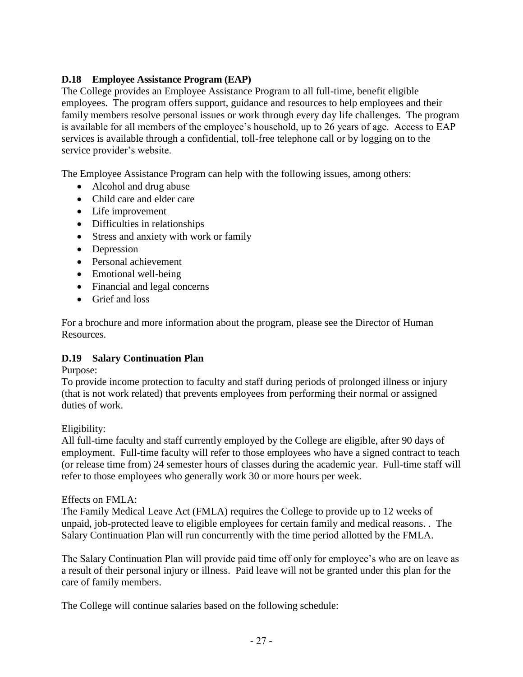## **D.18 Employee Assistance Program (EAP)**

The College provides an Employee Assistance Program to all full-time, benefit eligible employees. The program offers support, guidance and resources to help employees and their family members resolve personal issues or work through every day life challenges. The program is available for all members of the employee's household, up to 26 years of age. Access to EAP services is available through a confidential, toll-free telephone call or by logging on to the service provider's website.

The Employee Assistance Program can help with the following issues, among others:

- Alcohol and drug abuse
- Child care and elder care
- Life improvement
- Difficulties in relationships
- Stress and anxiety with work or family
- Depression
- Personal achievement
- Emotional well-being
- Financial and legal concerns
- Grief and loss

For a brochure and more information about the program, please see the Director of Human Resources.

#### **D.19 Salary Continuation Plan**

Purpose:

To provide income protection to faculty and staff during periods of prolonged illness or injury (that is not work related) that prevents employees from performing their normal or assigned duties of work.

Eligibility:

All full-time faculty and staff currently employed by the College are eligible, after 90 days of employment. Full-time faculty will refer to those employees who have a signed contract to teach (or release time from) 24 semester hours of classes during the academic year. Full-time staff will refer to those employees who generally work 30 or more hours per week.

#### Effects on FMLA:

The Family Medical Leave Act (FMLA) requires the College to provide up to 12 weeks of unpaid, job-protected leave to eligible employees for certain family and medical reasons. . The Salary Continuation Plan will run concurrently with the time period allotted by the FMLA.

The Salary Continuation Plan will provide paid time off only for employee's who are on leave as a result of their personal injury or illness. Paid leave will not be granted under this plan for the care of family members.

The College will continue salaries based on the following schedule: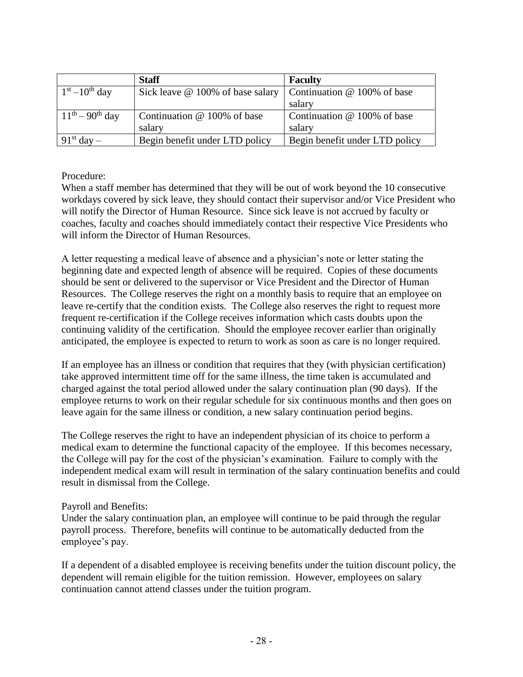|                         | <b>Staff</b>                            | <b>Faculty</b>                 |
|-------------------------|-----------------------------------------|--------------------------------|
| $1st - 10th$ day        | Sick leave $\omega$ 100% of base salary | Continuation $@$ 100% of base  |
|                         |                                         | salary                         |
| $11^{th} - 90^{th}$ day | Continuation $@$ 100% of base           | Continuation @ 100% of base    |
|                         | salary                                  | salary                         |
| $-91st$ day $-$         | Begin benefit under LTD policy          | Begin benefit under LTD policy |

#### Procedure:

When a staff member has determined that they will be out of work beyond the 10 consecutive workdays covered by sick leave, they should contact their supervisor and/or Vice President who will notify the Director of Human Resource. Since sick leave is not accrued by faculty or coaches, faculty and coaches should immediately contact their respective Vice Presidents who will inform the Director of Human Resources.

A letter requesting a medical leave of absence and a physician's note or letter stating the beginning date and expected length of absence will be required. Copies of these documents should be sent or delivered to the supervisor or Vice President and the Director of Human Resources. The College reserves the right on a monthly basis to require that an employee on leave re-certify that the condition exists. The College also reserves the right to request more frequent re-certification if the College receives information which casts doubts upon the continuing validity of the certification. Should the employee recover earlier than originally anticipated, the employee is expected to return to work as soon as care is no longer required.

If an employee has an illness or condition that requires that they (with physician certification) take approved intermittent time off for the same illness, the time taken is accumulated and charged against the total period allowed under the salary continuation plan (90 days). If the employee returns to work on their regular schedule for six continuous months and then goes on leave again for the same illness or condition, a new salary continuation period begins.

The College reserves the right to have an independent physician of its choice to perform a medical exam to determine the functional capacity of the employee. If this becomes necessary, the College will pay for the cost of the physician's examination. Failure to comply with the independent medical exam will result in termination of the salary continuation benefits and could result in dismissal from the College.

#### Payroll and Benefits:

Under the salary continuation plan, an employee will continue to be paid through the regular payroll process. Therefore, benefits will continue to be automatically deducted from the employee's pay.

If a dependent of a disabled employee is receiving benefits under the tuition discount policy, the dependent will remain eligible for the tuition remission. However, employees on salary continuation cannot attend classes under the tuition program.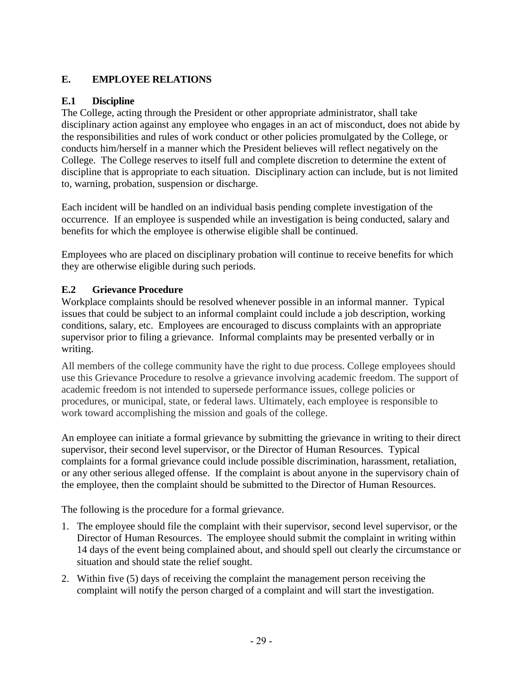# **E. EMPLOYEE RELATIONS**

## **E.1 Discipline**

The College, acting through the President or other appropriate administrator, shall take disciplinary action against any employee who engages in an act of misconduct, does not abide by the responsibilities and rules of work conduct or other policies promulgated by the College, or conducts him/herself in a manner which the President believes will reflect negatively on the College. The College reserves to itself full and complete discretion to determine the extent of discipline that is appropriate to each situation. Disciplinary action can include, but is not limited to, warning, probation, suspension or discharge.

Each incident will be handled on an individual basis pending complete investigation of the occurrence. If an employee is suspended while an investigation is being conducted, salary and benefits for which the employee is otherwise eligible shall be continued.

Employees who are placed on disciplinary probation will continue to receive benefits for which they are otherwise eligible during such periods.

## **E.2 Grievance Procedure**

Workplace complaints should be resolved whenever possible in an informal manner. Typical issues that could be subject to an informal complaint could include a job description, working conditions, salary, etc. Employees are encouraged to discuss complaints with an appropriate supervisor prior to filing a grievance. Informal complaints may be presented verbally or in writing.

All members of the college community have the right to due process. College employees should use this Grievance Procedure to resolve a grievance involving academic freedom. The support of academic freedom is not intended to supersede performance issues, college policies or procedures, or municipal, state, or federal laws. Ultimately, each employee is responsible to work toward accomplishing the mission and goals of the college.

An employee can initiate a formal grievance by submitting the grievance in writing to their direct supervisor, their second level supervisor, or the Director of Human Resources. Typical complaints for a formal grievance could include possible discrimination, harassment, retaliation, or any other serious alleged offense. If the complaint is about anyone in the supervisory chain of the employee, then the complaint should be submitted to the Director of Human Resources.

The following is the procedure for a formal grievance.

- 1. The employee should file the complaint with their supervisor, second level supervisor, or the Director of Human Resources. The employee should submit the complaint in writing within 14 days of the event being complained about, and should spell out clearly the circumstance or situation and should state the relief sought.
- 2. Within five (5) days of receiving the complaint the management person receiving the complaint will notify the person charged of a complaint and will start the investigation.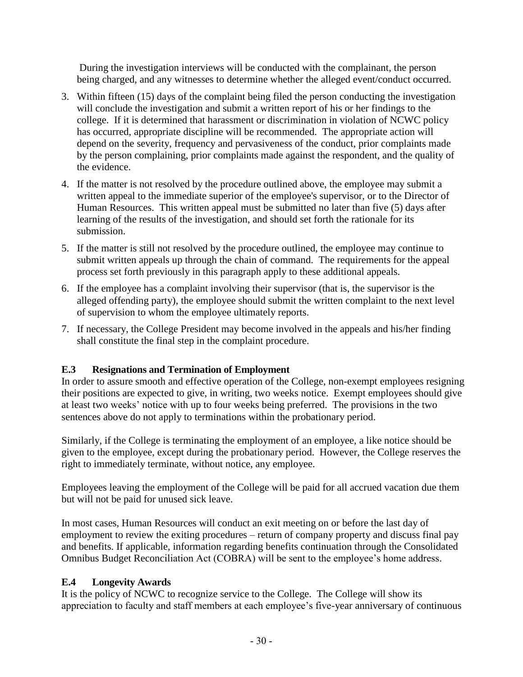During the investigation interviews will be conducted with the complainant, the person being charged, and any witnesses to determine whether the alleged event/conduct occurred.

- 3. Within fifteen (15) days of the complaint being filed the person conducting the investigation will conclude the investigation and submit a written report of his or her findings to the college. If it is determined that harassment or discrimination in violation of NCWC policy has occurred, appropriate discipline will be recommended. The appropriate action will depend on the severity, frequency and pervasiveness of the conduct, prior complaints made by the person complaining, prior complaints made against the respondent, and the quality of the evidence.
- 4. If the matter is not resolved by the procedure outlined above, the employee may submit a written appeal to the immediate superior of the employee's supervisor, or to the Director of Human Resources. This written appeal must be submitted no later than five (5) days after learning of the results of the investigation, and should set forth the rationale for its submission.
- 5. If the matter is still not resolved by the procedure outlined, the employee may continue to submit written appeals up through the chain of command. The requirements for the appeal process set forth previously in this paragraph apply to these additional appeals.
- 6. If the employee has a complaint involving their supervisor (that is, the supervisor is the alleged offending party), the employee should submit the written complaint to the next level of supervision to whom the employee ultimately reports.
- 7. If necessary, the College President may become involved in the appeals and his/her finding shall constitute the final step in the complaint procedure.

# **E.3 Resignations and Termination of Employment**

In order to assure smooth and effective operation of the College, non-exempt employees resigning their positions are expected to give, in writing, two weeks notice. Exempt employees should give at least two weeks' notice with up to four weeks being preferred. The provisions in the two sentences above do not apply to terminations within the probationary period.

Similarly, if the College is terminating the employment of an employee, a like notice should be given to the employee, except during the probationary period. However, the College reserves the right to immediately terminate, without notice, any employee.

Employees leaving the employment of the College will be paid for all accrued vacation due them but will not be paid for unused sick leave.

In most cases, Human Resources will conduct an exit meeting on or before the last day of employment to review the exiting procedures – return of company property and discuss final pay and benefits. If applicable, information regarding benefits continuation through the Consolidated Omnibus Budget Reconciliation Act (COBRA) will be sent to the employee's home address.

# **E.4 Longevity Awards**

It is the policy of NCWC to recognize service to the College. The College will show its appreciation to faculty and staff members at each employee's five-year anniversary of continuous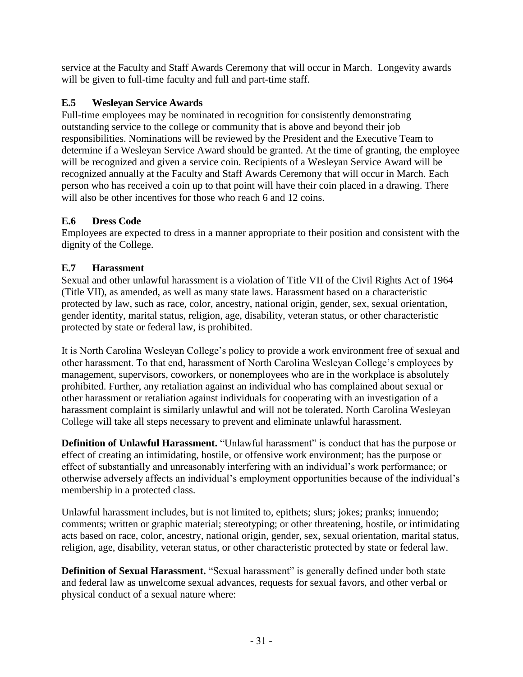service at the Faculty and Staff Awards Ceremony that will occur in March. Longevity awards will be given to full-time faculty and full and part-time staff.

# **E.5 Wesleyan Service Awards**

Full-time employees may be nominated in recognition for consistently demonstrating outstanding service to the college or community that is above and beyond their job responsibilities. Nominations will be reviewed by the President and the Executive Team to determine if a Wesleyan Service Award should be granted. At the time of granting, the employee will be recognized and given a service coin. Recipients of a Wesleyan Service Award will be recognized annually at the Faculty and Staff Awards Ceremony that will occur in March. Each person who has received a coin up to that point will have their coin placed in a drawing. There will also be other incentives for those who reach 6 and 12 coins.

# **E.6 Dress Code**

Employees are expected to dress in a manner appropriate to their position and consistent with the dignity of the College.

# **E.7 Harassment**

Sexual and other unlawful harassment is a violation of Title VII of the Civil Rights Act of 1964 (Title VII), as amended, as well as many state laws. Harassment based on a characteristic protected by law, such as race, color, ancestry, national origin, gender, sex, sexual orientation, gender identity, marital status, religion, age, disability, veteran status, or other characteristic protected by state or federal law, is prohibited.

It is North Carolina Wesleyan College's policy to provide a work environment free of sexual and other harassment. To that end, harassment of North Carolina Wesleyan College's employees by management, supervisors, coworkers, or nonemployees who are in the workplace is absolutely prohibited. Further, any retaliation against an individual who has complained about sexual or other harassment or retaliation against individuals for cooperating with an investigation of a harassment complaint is similarly unlawful and will not be tolerated. North Carolina Wesleyan College will take all steps necessary to prevent and eliminate unlawful harassment.

**Definition of Unlawful Harassment.** "Unlawful harassment" is conduct that has the purpose or effect of creating an intimidating, hostile, or offensive work environment; has the purpose or effect of substantially and unreasonably interfering with an individual's work performance; or otherwise adversely affects an individual's employment opportunities because of the individual's membership in a protected class.

Unlawful harassment includes, but is not limited to, epithets; slurs; jokes; pranks; innuendo; comments; written or graphic material; stereotyping; or other threatening, hostile, or intimidating acts based on race, color, ancestry, national origin, gender, sex, sexual orientation, marital status, religion, age, disability, veteran status, or other characteristic protected by state or federal law.

**Definition of Sexual Harassment.** "Sexual harassment" is generally defined under both state and federal law as unwelcome sexual advances, requests for sexual favors, and other verbal or physical conduct of a sexual nature where: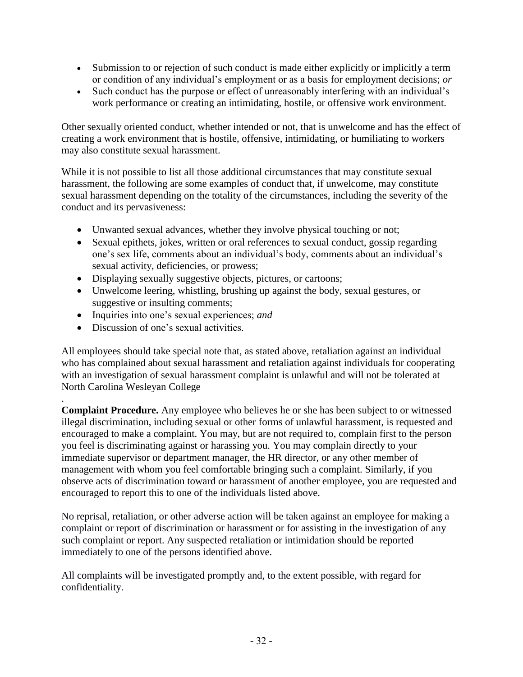- Submission to or rejection of such conduct is made either explicitly or implicitly a term or condition of any individual's employment or as a basis for employment decisions; *or*
- Such conduct has the purpose or effect of unreasonably interfering with an individual's work performance or creating an intimidating, hostile, or offensive work environment.

Other sexually oriented conduct, whether intended or not, that is unwelcome and has the effect of creating a work environment that is hostile, offensive, intimidating, or humiliating to workers may also constitute sexual harassment.

While it is not possible to list all those additional circumstances that may constitute sexual harassment, the following are some examples of conduct that, if unwelcome, may constitute sexual harassment depending on the totality of the circumstances, including the severity of the conduct and its pervasiveness:

- Unwanted sexual advances, whether they involve physical touching or not;
- Sexual epithets, jokes, written or oral references to sexual conduct, gossip regarding one's sex life, comments about an individual's body, comments about an individual's sexual activity, deficiencies, or prowess;
- Displaying sexually suggestive objects, pictures, or cartoons;
- Unwelcome leering, whistling, brushing up against the body, sexual gestures, or suggestive or insulting comments;
- Inquiries into one's sexual experiences; *and*
- Discussion of one's sexual activities.

.

All employees should take special note that, as stated above, retaliation against an individual who has complained about sexual harassment and retaliation against individuals for cooperating with an investigation of sexual harassment complaint is unlawful and will not be tolerated at North Carolina Wesleyan College

**Complaint Procedure.** Any employee who believes he or she has been subject to or witnessed illegal discrimination, including sexual or other forms of unlawful harassment, is requested and encouraged to make a complaint. You may, but are not required to, complain first to the person you feel is discriminating against or harassing you. You may complain directly to your immediate supervisor or department manager, the HR director, or any other member of management with whom you feel comfortable bringing such a complaint. Similarly, if you observe acts of discrimination toward or harassment of another employee, you are requested and encouraged to report this to one of the individuals listed above.

No reprisal, retaliation, or other adverse action will be taken against an employee for making a complaint or report of discrimination or harassment or for assisting in the investigation of any such complaint or report. Any suspected retaliation or intimidation should be reported immediately to one of the persons identified above.

All complaints will be investigated promptly and, to the extent possible, with regard for confidentiality.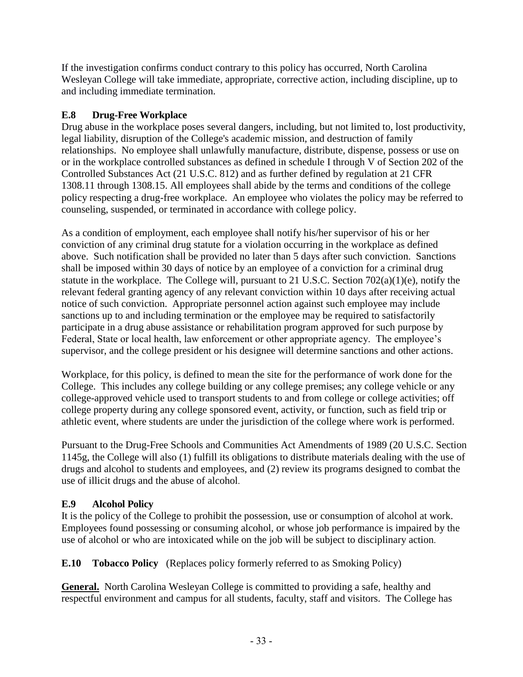If the investigation confirms conduct contrary to this policy has occurred, North Carolina Wesleyan College will take immediate, appropriate, corrective action, including discipline, up to and including immediate termination.

# **E.8 Drug-Free Workplace**

Drug abuse in the workplace poses several dangers, including, but not limited to, lost productivity, legal liability, disruption of the College's academic mission, and destruction of family relationships. No employee shall unlawfully manufacture, distribute, dispense, possess or use on or in the workplace controlled substances as defined in schedule I through V of Section 202 of the Controlled Substances Act (21 U.S.C. 812) and as further defined by regulation at 21 CFR 1308.11 through 1308.15. All employees shall abide by the terms and conditions of the college policy respecting a drug-free workplace. An employee who violates the policy may be referred to counseling, suspended, or terminated in accordance with college policy.

As a condition of employment, each employee shall notify his/her supervisor of his or her conviction of any criminal drug statute for a violation occurring in the workplace as defined above. Such notification shall be provided no later than 5 days after such conviction. Sanctions shall be imposed within 30 days of notice by an employee of a conviction for a criminal drug statute in the workplace. The College will, pursuant to 21 U.S.C. Section 702(a)(1)(e), notify the relevant federal granting agency of any relevant conviction within 10 days after receiving actual notice of such conviction. Appropriate personnel action against such employee may include sanctions up to and including termination or the employee may be required to satisfactorily participate in a drug abuse assistance or rehabilitation program approved for such purpose by Federal, State or local health, law enforcement or other appropriate agency. The employee's supervisor, and the college president or his designee will determine sanctions and other actions.

Workplace, for this policy, is defined to mean the site for the performance of work done for the College. This includes any college building or any college premises; any college vehicle or any college-approved vehicle used to transport students to and from college or college activities; off college property during any college sponsored event, activity, or function, such as field trip or athletic event, where students are under the jurisdiction of the college where work is performed.

Pursuant to the Drug-Free Schools and Communities Act Amendments of 1989 (20 U.S.C. Section 1145g, the College will also (1) fulfill its obligations to distribute materials dealing with the use of drugs and alcohol to students and employees, and (2) review its programs designed to combat the use of illicit drugs and the abuse of alcohol.

# **E.9 Alcohol Policy**

It is the policy of the College to prohibit the possession, use or consumption of alcohol at work. Employees found possessing or consuming alcohol, or whose job performance is impaired by the use of alcohol or who are intoxicated while on the job will be subject to disciplinary action.

**E.10 Tobacco Policy** (Replaces policy formerly referred to as Smoking Policy)

**General.** North Carolina Wesleyan College is committed to providing a safe, healthy and respectful environment and campus for all students, faculty, staff and visitors. The College has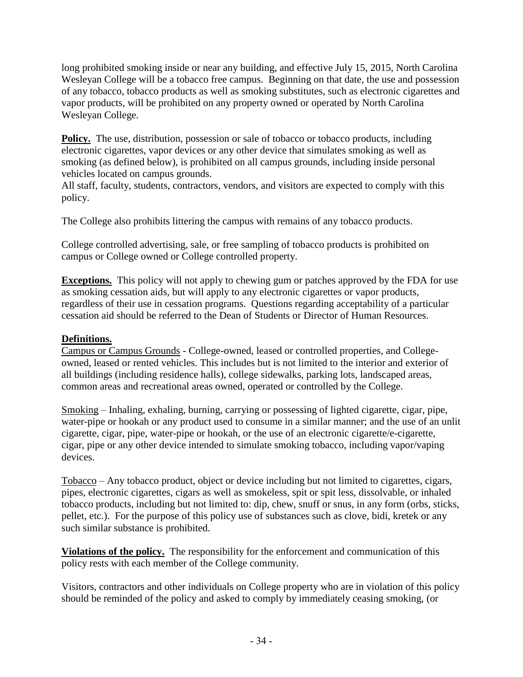long prohibited smoking inside or near any building, and effective July 15, 2015, North Carolina Wesleyan College will be a tobacco free campus. Beginning on that date, the use and possession of any tobacco, tobacco products as well as smoking substitutes, such as electronic cigarettes and vapor products, will be prohibited on any property owned or operated by North Carolina Wesleyan College.

**Policy.** The use, distribution, possession or sale of tobacco or tobacco products, including electronic cigarettes, vapor devices or any other device that simulates smoking as well as smoking (as defined below), is prohibited on all campus grounds, including inside personal vehicles located on campus grounds.

All staff, faculty, students, contractors, vendors, and visitors are expected to comply with this policy.

The College also prohibits littering the campus with remains of any tobacco products.

College controlled advertising, sale, or free sampling of tobacco products is prohibited on campus or College owned or College controlled property.

**Exceptions.** This policy will not apply to chewing gum or patches approved by the FDA for use as smoking cessation aids, but will apply to any electronic cigarettes or vapor products, regardless of their use in cessation programs. Questions regarding acceptability of a particular cessation aid should be referred to the Dean of Students or Director of Human Resources.

## **Definitions.**

Campus or Campus Grounds - College-owned, leased or controlled properties, and Collegeowned, leased or rented vehicles. This includes but is not limited to the interior and exterior of all buildings (including residence halls), college sidewalks, parking lots, landscaped areas, common areas and recreational areas owned, operated or controlled by the College.

Smoking – Inhaling, exhaling, burning, carrying or possessing of lighted cigarette, cigar, pipe, water-pipe or hookah or any product used to consume in a similar manner; and the use of an unlit cigarette, cigar, pipe, water-pipe or hookah, or the use of an electronic cigarette/e-cigarette, cigar, pipe or any other device intended to simulate smoking tobacco, including vapor/vaping devices.

Tobacco – Any tobacco product, object or device including but not limited to cigarettes, cigars, pipes, electronic cigarettes, cigars as well as smokeless, spit or spit less, dissolvable, or inhaled tobacco products, including but not limited to: dip, chew, snuff or snus, in any form (orbs, sticks, pellet, etc.). For the purpose of this policy use of substances such as clove, bidi, kretek or any such similar substance is prohibited.

**Violations of the policy.** The responsibility for the enforcement and communication of this policy rests with each member of the College community.

Visitors, contractors and other individuals on College property who are in violation of this policy should be reminded of the policy and asked to comply by immediately ceasing smoking, (or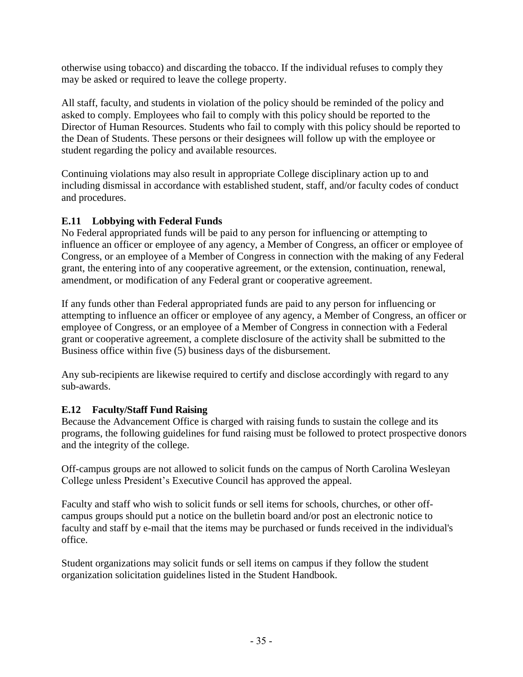otherwise using tobacco) and discarding the tobacco. If the individual refuses to comply they may be asked or required to leave the college property.

All staff, faculty, and students in violation of the policy should be reminded of the policy and asked to comply. Employees who fail to comply with this policy should be reported to the Director of Human Resources. Students who fail to comply with this policy should be reported to the Dean of Students. These persons or their designees will follow up with the employee or student regarding the policy and available resources.

Continuing violations may also result in appropriate College disciplinary action up to and including dismissal in accordance with established student, staff, and/or faculty codes of conduct and procedures.

# **E.11 Lobbying with Federal Funds**

No Federal appropriated funds will be paid to any person for influencing or attempting to influence an officer or employee of any agency, a Member of Congress, an officer or employee of Congress, or an employee of a Member of Congress in connection with the making of any Federal grant, the entering into of any cooperative agreement, or the extension, continuation, renewal, amendment, or modification of any Federal grant or cooperative agreement.

If any funds other than Federal appropriated funds are paid to any person for influencing or attempting to influence an officer or employee of any agency, a Member of Congress, an officer or employee of Congress, or an employee of a Member of Congress in connection with a Federal grant or cooperative agreement, a complete disclosure of the activity shall be submitted to the Business office within five (5) business days of the disbursement.

Any sub-recipients are likewise required to certify and disclose accordingly with regard to any sub-awards.

# **E.12 Faculty/Staff Fund Raising**

Because the Advancement Office is charged with raising funds to sustain the college and its programs, the following guidelines for fund raising must be followed to protect prospective donors and the integrity of the college.

Off-campus groups are not allowed to solicit funds on the campus of North Carolina Wesleyan College unless President's Executive Council has approved the appeal.

Faculty and staff who wish to solicit funds or sell items for schools, churches, or other offcampus groups should put a notice on the bulletin board and/or post an electronic notice to faculty and staff by e-mail that the items may be purchased or funds received in the individual's office.

Student organizations may solicit funds or sell items on campus if they follow the student organization solicitation guidelines listed in the Student Handbook.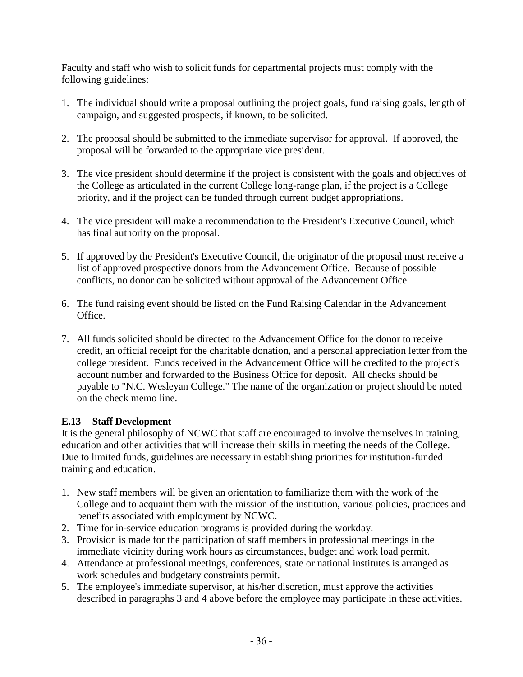Faculty and staff who wish to solicit funds for departmental projects must comply with the following guidelines:

- 1. The individual should write a proposal outlining the project goals, fund raising goals, length of campaign, and suggested prospects, if known, to be solicited.
- 2. The proposal should be submitted to the immediate supervisor for approval. If approved, the proposal will be forwarded to the appropriate vice president.
- 3. The vice president should determine if the project is consistent with the goals and objectives of the College as articulated in the current College long-range plan, if the project is a College priority, and if the project can be funded through current budget appropriations.
- 4. The vice president will make a recommendation to the President's Executive Council, which has final authority on the proposal.
- 5. If approved by the President's Executive Council, the originator of the proposal must receive a list of approved prospective donors from the Advancement Office. Because of possible conflicts, no donor can be solicited without approval of the Advancement Office.
- 6. The fund raising event should be listed on the Fund Raising Calendar in the Advancement Office.
- 7. All funds solicited should be directed to the Advancement Office for the donor to receive credit, an official receipt for the charitable donation, and a personal appreciation letter from the college president. Funds received in the Advancement Office will be credited to the project's account number and forwarded to the Business Office for deposit. All checks should be payable to "N.C. Wesleyan College." The name of the organization or project should be noted on the check memo line.

# **E.13 Staff Development**

It is the general philosophy of NCWC that staff are encouraged to involve themselves in training, education and other activities that will increase their skills in meeting the needs of the College. Due to limited funds, guidelines are necessary in establishing priorities for institution-funded training and education.

- 1. New staff members will be given an orientation to familiarize them with the work of the College and to acquaint them with the mission of the institution, various policies, practices and benefits associated with employment by NCWC.
- 2. Time for in-service education programs is provided during the workday.
- 3. Provision is made for the participation of staff members in professional meetings in the immediate vicinity during work hours as circumstances, budget and work load permit.
- 4. Attendance at professional meetings, conferences, state or national institutes is arranged as work schedules and budgetary constraints permit.
- 5. The employee's immediate supervisor, at his/her discretion, must approve the activities described in paragraphs 3 and 4 above before the employee may participate in these activities.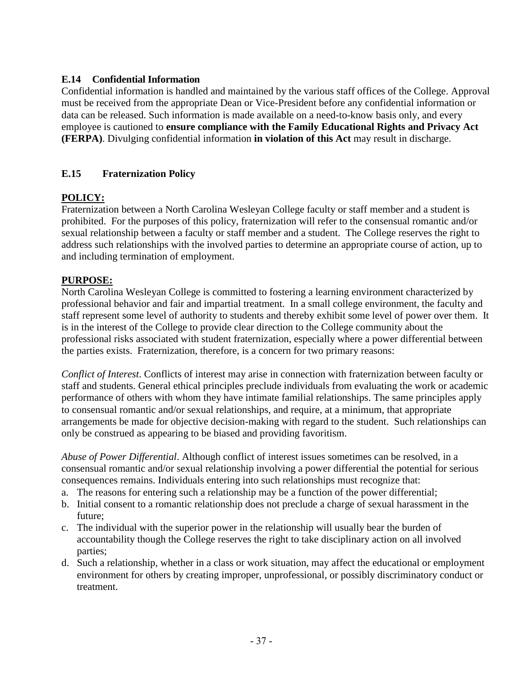## **E.14 Confidential Information**

Confidential information is handled and maintained by the various staff offices of the College. Approval must be received from the appropriate Dean or Vice-President before any confidential information or data can be released. Such information is made available on a need-to-know basis only, and every employee is cautioned to **ensure compliance with the Family Educational Rights and Privacy Act (FERPA)**. Divulging confidential information **in violation of this Act** may result in discharge.

# **E.15 Fraternization Policy**

# **POLICY:**

Fraternization between a North Carolina Wesleyan College faculty or staff member and a student is prohibited. For the purposes of this policy, fraternization will refer to the consensual romantic and/or sexual relationship between a faculty or staff member and a student. The College reserves the right to address such relationships with the involved parties to determine an appropriate course of action, up to and including termination of employment.

#### **PURPOSE:**

North Carolina Wesleyan College is committed to fostering a learning environment characterized by professional behavior and fair and impartial treatment. In a small college environment, the faculty and staff represent some level of authority to students and thereby exhibit some level of power over them. It is in the interest of the College to provide clear direction to the College community about the professional risks associated with student fraternization, especially where a power differential between the parties exists. Fraternization, therefore, is a concern for two primary reasons:

*Conflict of Interest*. Conflicts of interest may arise in connection with fraternization between faculty or staff and students. General ethical principles preclude individuals from evaluating the work or academic performance of others with whom they have intimate familial relationships. The same principles apply to consensual romantic and/or sexual relationships, and require, at a minimum, that appropriate arrangements be made for objective decision-making with regard to the student. Such relationships can only be construed as appearing to be biased and providing favoritism.

*Abuse of Power Differential*. Although conflict of interest issues sometimes can be resolved, in a consensual romantic and/or sexual relationship involving a power differential the potential for serious consequences remains. Individuals entering into such relationships must recognize that:

- a. The reasons for entering such a relationship may be a function of the power differential;
- b. Initial consent to a romantic relationship does not preclude a charge of sexual harassment in the future;
- c. The individual with the superior power in the relationship will usually bear the burden of accountability though the College reserves the right to take disciplinary action on all involved parties;
- d. Such a relationship, whether in a class or work situation, may affect the educational or employment environment for others by creating improper, unprofessional, or possibly discriminatory conduct or treatment.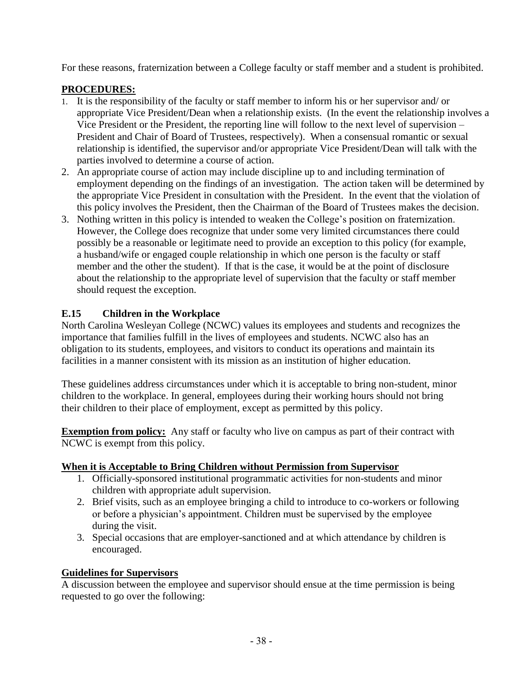For these reasons, fraternization between a College faculty or staff member and a student is prohibited.

#### **PROCEDURES:**

- 1. It is the responsibility of the faculty or staff member to inform his or her supervisor and/ or appropriate Vice President/Dean when a relationship exists. (In the event the relationship involves a Vice President or the President, the reporting line will follow to the next level of supervision – President and Chair of Board of Trustees, respectively). When a consensual romantic or sexual relationship is identified, the supervisor and/or appropriate Vice President/Dean will talk with the parties involved to determine a course of action.
- 2. An appropriate course of action may include discipline up to and including termination of employment depending on the findings of an investigation. The action taken will be determined by the appropriate Vice President in consultation with the President. In the event that the violation of this policy involves the President, then the Chairman of the Board of Trustees makes the decision.
- 3. Nothing written in this policy is intended to weaken the College's position on fraternization. However, the College does recognize that under some very limited circumstances there could possibly be a reasonable or legitimate need to provide an exception to this policy (for example, a husband/wife or engaged couple relationship in which one person is the faculty or staff member and the other the student). If that is the case, it would be at the point of disclosure about the relationship to the appropriate level of supervision that the faculty or staff member should request the exception.

# **E.15 Children in the Workplace**

North Carolina Wesleyan College (NCWC) values its employees and students and recognizes the importance that families fulfill in the lives of employees and students. NCWC also has an obligation to its students, employees, and visitors to conduct its operations and maintain its facilities in a manner consistent with its mission as an institution of higher education.

These guidelines address circumstances under which it is acceptable to bring non-student, minor children to the workplace. In general, employees during their working hours should not bring their children to their place of employment, except as permitted by this policy.

**Exemption from policy:** Any staff or faculty who live on campus as part of their contract with NCWC is exempt from this policy.

# **When it is Acceptable to Bring Children without Permission from Supervisor**

- 1. Officially-sponsored institutional programmatic activities for non-students and minor children with appropriate adult supervision.
- 2. Brief visits, such as an employee bringing a child to introduce to co-workers or following or before a physician's appointment. Children must be supervised by the employee during the visit.
- 3. Special occasions that are employer-sanctioned and at which attendance by children is encouraged.

# **Guidelines for Supervisors**

A discussion between the employee and supervisor should ensue at the time permission is being requested to go over the following: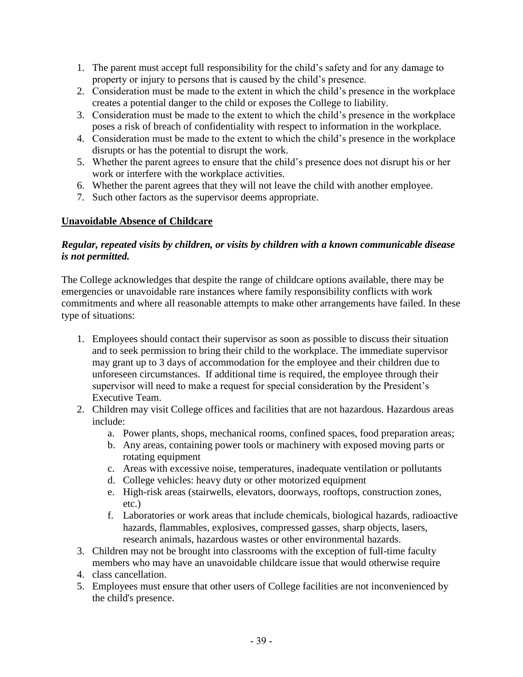- 1. The parent must accept full responsibility for the child's safety and for any damage to property or injury to persons that is caused by the child's presence.
- 2. Consideration must be made to the extent in which the child's presence in the workplace creates a potential danger to the child or exposes the College to liability.
- 3. Consideration must be made to the extent to which the child's presence in the workplace poses a risk of breach of confidentiality with respect to information in the workplace.
- 4. Consideration must be made to the extent to which the child's presence in the workplace disrupts or has the potential to disrupt the work.
- 5. Whether the parent agrees to ensure that the child's presence does not disrupt his or her work or interfere with the workplace activities.
- 6. Whether the parent agrees that they will not leave the child with another employee.
- 7. Such other factors as the supervisor deems appropriate.

## **Unavoidable Absence of Childcare**

#### *Regular, repeated visits by children, or visits by children with a known communicable disease is not permitted.*

The College acknowledges that despite the range of childcare options available, there may be emergencies or unavoidable rare instances where family responsibility conflicts with work commitments and where all reasonable attempts to make other arrangements have failed. In these type of situations:

- 1. Employees should contact their supervisor as soon as possible to discuss their situation and to seek permission to bring their child to the workplace. The immediate supervisor may grant up to 3 days of accommodation for the employee and their children due to unforeseen circumstances. If additional time is required, the employee through their supervisor will need to make a request for special consideration by the President's Executive Team.
- 2. Children may visit College offices and facilities that are not hazardous. Hazardous areas include:
	- a. Power plants, shops, mechanical rooms, confined spaces, food preparation areas;
	- b. Any areas, containing power tools or machinery with exposed moving parts or rotating equipment
	- c. Areas with excessive noise, temperatures, inadequate ventilation or pollutants
	- d. College vehicles: heavy duty or other motorized equipment
	- e. High-risk areas (stairwells, elevators, doorways, rooftops, construction zones, etc.)
	- f. Laboratories or work areas that include chemicals, biological hazards, radioactive hazards, flammables, explosives, compressed gasses, sharp objects, lasers, research animals, hazardous wastes or other environmental hazards.
- 3. Children may not be brought into classrooms with the exception of full-time faculty members who may have an unavoidable childcare issue that would otherwise require
- 4. class cancellation.
- 5. Employees must ensure that other users of College facilities are not inconvenienced by the child's presence.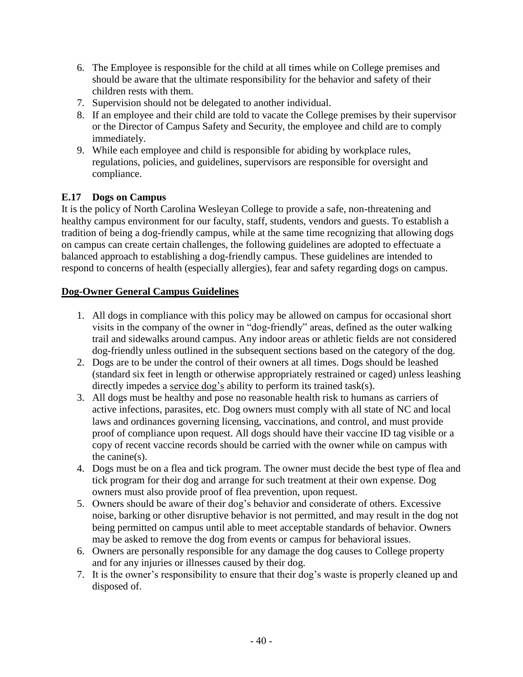- 6. The Employee is responsible for the child at all times while on College premises and should be aware that the ultimate responsibility for the behavior and safety of their children rests with them.
- 7. Supervision should not be delegated to another individual.
- 8. If an employee and their child are told to vacate the College premises by their supervisor or the Director of Campus Safety and Security, the employee and child are to comply immediately.
- 9. While each employee and child is responsible for abiding by workplace rules, regulations, policies, and guidelines, supervisors are responsible for oversight and compliance.

# **E.17 Dogs on Campus**

It is the policy of North Carolina Wesleyan College to provide a safe, non-threatening and healthy campus environment for our faculty, staff, students, vendors and guests. To establish a tradition of being a dog-friendly campus, while at the same time recognizing that allowing dogs on campus can create certain challenges, the following guidelines are adopted to effectuate a balanced approach to establishing a dog-friendly campus. These guidelines are intended to respond to concerns of health (especially allergies), fear and safety regarding dogs on campus.

# **Dog-Owner General Campus Guidelines**

- 1. All dogs in compliance with this policy may be allowed on campus for occasional short visits in the company of the owner in "dog-friendly" areas, defined as the outer walking trail and sidewalks around campus. Any indoor areas or athletic fields are not considered dog-friendly unless outlined in the subsequent sections based on the category of the dog.
- 2. Dogs are to be under the control of their owners at all times. Dogs should be leashed (standard six feet in length or otherwise appropriately restrained or caged) unless leashing directly impedes a <u>service dog's</u> ability to perform its trained task(s).
- 3. All dogs must be healthy and pose no reasonable health risk to humans as carriers of active infections, parasites, etc. Dog owners must comply with all state of NC and local laws and ordinances governing licensing, vaccinations, and control, and must provide proof of compliance upon request. All dogs should have their vaccine ID tag visible or a copy of recent vaccine records should be carried with the owner while on campus with the canine(s).
- 4. Dogs must be on a flea and tick program. The owner must decide the best type of flea and tick program for their dog and arrange for such treatment at their own expense. Dog owners must also provide proof of flea prevention, upon request.
- 5. Owners should be aware of their dog's behavior and considerate of others. Excessive noise, barking or other disruptive behavior is not permitted, and may result in the dog not being permitted on campus until able to meet acceptable standards of behavior. Owners may be asked to remove the dog from events or campus for behavioral issues.
- 6. Owners are personally responsible for any damage the dog causes to College property and for any injuries or illnesses caused by their dog.
- 7. It is the owner's responsibility to ensure that their dog's waste is properly cleaned up and disposed of.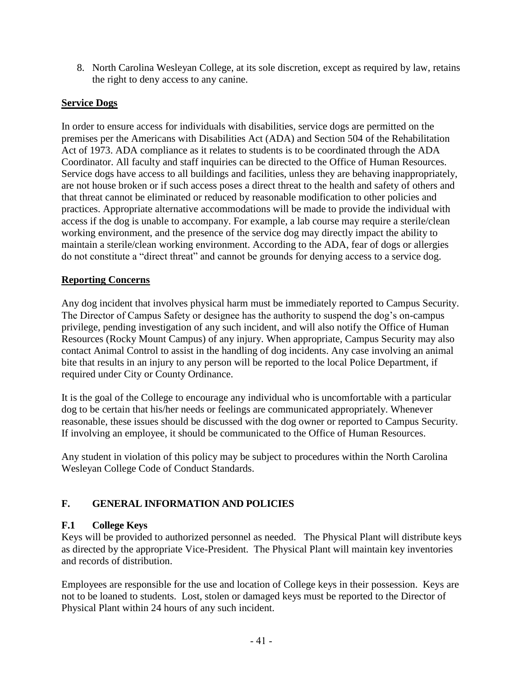8. North Carolina Wesleyan College, at its sole discretion, except as required by law, retains the right to deny access to any canine.

## **Service Dogs**

In order to ensure access for individuals with disabilities, service dogs are permitted on the premises per the Americans with Disabilities Act (ADA) and Section 504 of the Rehabilitation Act of 1973. ADA compliance as it relates to students is to be coordinated through the ADA Coordinator. All faculty and staff inquiries can be directed to the Office of Human Resources. Service dogs have access to all buildings and facilities, unless they are behaving inappropriately, are not house broken or if such access poses a direct threat to the health and safety of others and that threat cannot be eliminated or reduced by reasonable modification to other policies and practices. Appropriate alternative accommodations will be made to provide the individual with access if the dog is unable to accompany. For example, a lab course may require a sterile/clean working environment, and the presence of the service dog may directly impact the ability to maintain a sterile/clean working environment. According to the ADA, fear of dogs or allergies do not constitute a "direct threat" and cannot be grounds for denying access to a service dog.

#### **Reporting Concerns**

Any dog incident that involves physical harm must be immediately reported to Campus Security. The Director of Campus Safety or designee has the authority to suspend the dog's on-campus privilege, pending investigation of any such incident, and will also notify the Office of Human Resources (Rocky Mount Campus) of any injury. When appropriate, Campus Security may also contact Animal Control to assist in the handling of dog incidents. Any case involving an animal bite that results in an injury to any person will be reported to the local Police Department, if required under City or County Ordinance.

It is the goal of the College to encourage any individual who is uncomfortable with a particular dog to be certain that his/her needs or feelings are communicated appropriately. Whenever reasonable, these issues should be discussed with the dog owner or reported to Campus Security. If involving an employee, it should be communicated to the Office of Human Resources.

Any student in violation of this policy may be subject to procedures within the North Carolina Wesleyan College Code of Conduct Standards.

# **F. GENERAL INFORMATION AND POLICIES**

#### **F.1 College Keys**

Keys will be provided to authorized personnel as needed. The Physical Plant will distribute keys as directed by the appropriate Vice-President. The Physical Plant will maintain key inventories and records of distribution.

Employees are responsible for the use and location of College keys in their possession. Keys are not to be loaned to students. Lost, stolen or damaged keys must be reported to the Director of Physical Plant within 24 hours of any such incident.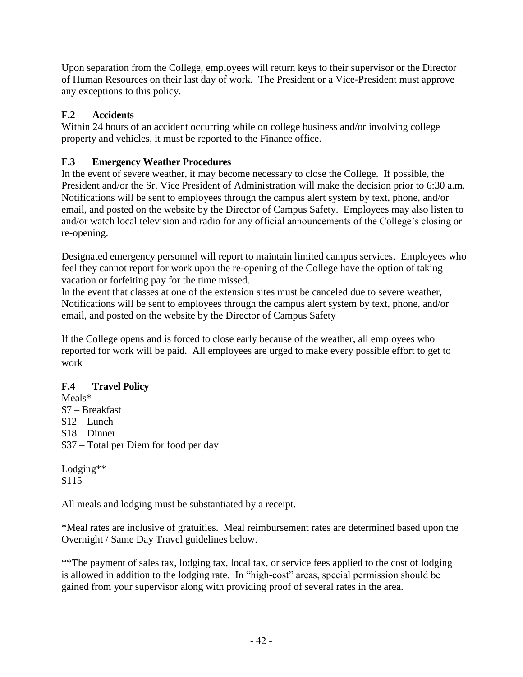Upon separation from the College, employees will return keys to their supervisor or the Director of Human Resources on their last day of work. The President or a Vice-President must approve any exceptions to this policy.

# **F.2 Accidents**

Within 24 hours of an accident occurring while on college business and/or involving college property and vehicles, it must be reported to the Finance office.

# **F.3 Emergency Weather Procedures**

In the event of severe weather, it may become necessary to close the College. If possible, the President and/or the Sr. Vice President of Administration will make the decision prior to 6:30 a.m. Notifications will be sent to employees through the campus alert system by text, phone, and/or email, and posted on the website by the Director of Campus Safety. Employees may also listen to and/or watch local television and radio for any official announcements of the College's closing or re-opening.

Designated emergency personnel will report to maintain limited campus services. Employees who feel they cannot report for work upon the re-opening of the College have the option of taking vacation or forfeiting pay for the time missed.

In the event that classes at one of the extension sites must be canceled due to severe weather, Notifications will be sent to employees through the campus alert system by text, phone, and/or email, and posted on the website by the Director of Campus Safety

If the College opens and is forced to close early because of the weather, all employees who reported for work will be paid. All employees are urged to make every possible effort to get to work

# **F.4 Travel Policy**

Meals\* \$7 – Breakfast  $$12$  – Lunch \$18 – Dinner \$37 – Total per Diem for food per day

Lodging\*\* \$115

All meals and lodging must be substantiated by a receipt.

\*Meal rates are inclusive of gratuities. Meal reimbursement rates are determined based upon the Overnight / Same Day Travel guidelines below.

\*\*The payment of sales tax, lodging tax, local tax, or service fees applied to the cost of lodging is allowed in addition to the lodging rate. In "high-cost" areas, special permission should be gained from your supervisor along with providing proof of several rates in the area.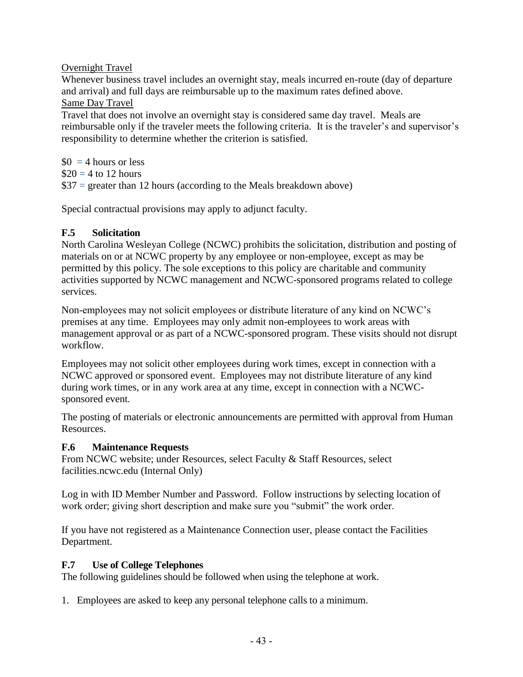Overnight Travel

Whenever business travel includes an overnight stay, meals incurred en-route (day of departure and arrival) and full days are reimbursable up to the maximum rates defined above. Same Day Travel

Travel that does not involve an overnight stay is considered same day travel. Meals are reimbursable only if the traveler meets the following criteria. It is the traveler's and supervisor's responsibility to determine whether the criterion is satisfied.

 $$0 = 4$  hours or less  $\$20 = 4$  to 12 hours  $$37$  = greater than 12 hours (according to the Meals breakdown above)

Special contractual provisions may apply to adjunct faculty.

# **F.5 Solicitation**

North Carolina Wesleyan College (NCWC) prohibits the solicitation, distribution and posting of materials on or at NCWC property by any employee or non-employee, except as may be permitted by this policy. The sole exceptions to this policy are charitable and community activities supported by NCWC management and NCWC-sponsored programs related to college services.

Non-employees may not solicit employees or distribute literature of any kind on NCWC's premises at any time. Employees may only admit non-employees to work areas with management approval or as part of a NCWC-sponsored program. These visits should not disrupt workflow.

Employees may not solicit other employees during work times, except in connection with a NCWC approved or sponsored event. Employees may not distribute literature of any kind during work times, or in any work area at any time, except in connection with a NCWCsponsored event.

The posting of materials or electronic announcements are permitted with approval from Human Resources.

# **F.6 Maintenance Requests**

From NCWC website; under Resources, select Faculty & Staff Resources, select facilities.ncwc.edu (Internal Only)

Log in with ID Member Number and Password. Follow instructions by selecting location of work order; giving short description and make sure you "submit" the work order.

If you have not registered as a Maintenance Connection user, please contact the Facilities Department.

# **F.7 Use of College Telephones**

The following guidelines should be followed when using the telephone at work.

1. Employees are asked to keep any personal telephone calls to a minimum.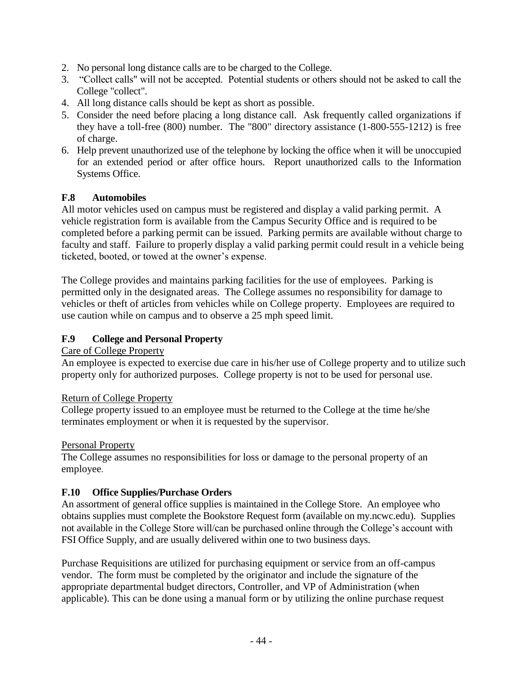- 2. No personal long distance calls are to be charged to the College.
- 3. "Collect calls" will not be accepted. Potential students or others should not be asked to call the College "collect".
- 4. All long distance calls should be kept as short as possible.
- 5. Consider the need before placing a long distance call. Ask frequently called organizations if they have a toll-free (800) number. The "800" directory assistance (1-800-555-1212) is free of charge.
- 6. Help prevent unauthorized use of the telephone by locking the office when it will be unoccupied for an extended period or after office hours. Report unauthorized calls to the Information Systems Office.

## **F.8 Automobiles**

All motor vehicles used on campus must be registered and display a valid parking permit. A vehicle registration form is available from the Campus Security Office and is required to be completed before a parking permit can be issued. Parking permits are available without charge to faculty and staff. Failure to properly display a valid parking permit could result in a vehicle being ticketed, booted, or towed at the owner's expense.

The College provides and maintains parking facilities for the use of employees. Parking is permitted only in the designated areas. The College assumes no responsibility for damage to vehicles or theft of articles from vehicles while on College property. Employees are required to use caution while on campus and to observe a 25 mph speed limit.

#### **F.9 College and Personal Property**

#### Care of College Property

An employee is expected to exercise due care in his/her use of College property and to utilize such property only for authorized purposes. College property is not to be used for personal use.

#### Return of College Property

College property issued to an employee must be returned to the College at the time he/she terminates employment or when it is requested by the supervisor.

#### Personal Property

The College assumes no responsibilities for loss or damage to the personal property of an employee.

# **F.10 Office Supplies/Purchase Orders**

An assortment of general office supplies is maintained in the College Store. An employee who obtains supplies must complete the Bookstore Request form (available on my.ncwc.edu). Supplies not available in the College Store will/can be purchased online through the College's account with FSI Office Supply, and are usually delivered within one to two business days.

Purchase Requisitions are utilized for purchasing equipment or service from an off-campus vendor. The form must be completed by the originator and include the signature of the appropriate departmental budget directors, Controller, and VP of Administration (when applicable). This can be done using a manual form or by utilizing the online purchase request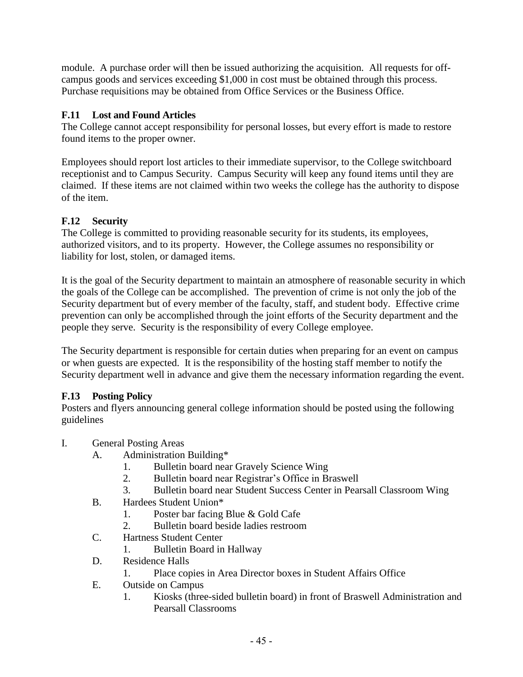module. A purchase order will then be issued authorizing the acquisition. All requests for offcampus goods and services exceeding \$1,000 in cost must be obtained through this process. Purchase requisitions may be obtained from Office Services or the Business Office.

# **F.11 Lost and Found Articles**

The College cannot accept responsibility for personal losses, but every effort is made to restore found items to the proper owner.

Employees should report lost articles to their immediate supervisor, to the College switchboard receptionist and to Campus Security. Campus Security will keep any found items until they are claimed. If these items are not claimed within two weeks the college has the authority to dispose of the item.

# **F.12 Security**

The College is committed to providing reasonable security for its students, its employees, authorized visitors, and to its property. However, the College assumes no responsibility or liability for lost, stolen, or damaged items.

It is the goal of the Security department to maintain an atmosphere of reasonable security in which the goals of the College can be accomplished. The prevention of crime is not only the job of the Security department but of every member of the faculty, staff, and student body. Effective crime prevention can only be accomplished through the joint efforts of the Security department and the people they serve. Security is the responsibility of every College employee.

The Security department is responsible for certain duties when preparing for an event on campus or when guests are expected. It is the responsibility of the hosting staff member to notify the Security department well in advance and give them the necessary information regarding the event.

# **F.13 Posting Policy**

Posters and flyers announcing general college information should be posted using the following guidelines

- I. General Posting Areas
	- A. Administration Building\*
		- 1. Bulletin board near Gravely Science Wing
		- 2. Bulletin board near Registrar's Office in Braswell
		- 3. Bulletin board near Student Success Center in Pearsall Classroom Wing
	- B. Hardees Student Union\*
		- 1. Poster bar facing Blue & Gold Cafe
		- 2. Bulletin board beside ladies restroom
	- C. Hartness Student Center
		- 1. Bulletin Board in Hallway
	- D. Residence Halls
		- 1. Place copies in Area Director boxes in Student Affairs Office
	- E. Outside on Campus
		- 1. Kiosks (three-sided bulletin board) in front of Braswell Administration and Pearsall Classrooms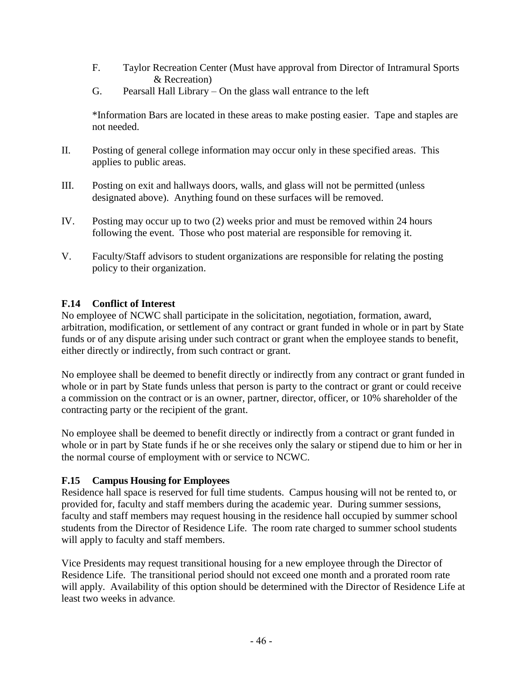- F. Taylor Recreation Center (Must have approval from Director of Intramural Sports & Recreation)
- G. Pearsall Hall Library On the glass wall entrance to the left

\*Information Bars are located in these areas to make posting easier. Tape and staples are not needed.

- II. Posting of general college information may occur only in these specified areas. This applies to public areas.
- III. Posting on exit and hallways doors, walls, and glass will not be permitted (unless designated above). Anything found on these surfaces will be removed.
- IV. Posting may occur up to two (2) weeks prior and must be removed within 24 hours following the event. Those who post material are responsible for removing it.
- V. Faculty/Staff advisors to student organizations are responsible for relating the posting policy to their organization.

## **F.14 Conflict of Interest**

No employee of NCWC shall participate in the solicitation, negotiation, formation, award, arbitration, modification, or settlement of any contract or grant funded in whole or in part by State funds or of any dispute arising under such contract or grant when the employee stands to benefit, either directly or indirectly, from such contract or grant.

No employee shall be deemed to benefit directly or indirectly from any contract or grant funded in whole or in part by State funds unless that person is party to the contract or grant or could receive a commission on the contract or is an owner, partner, director, officer, or 10% shareholder of the contracting party or the recipient of the grant.

No employee shall be deemed to benefit directly or indirectly from a contract or grant funded in whole or in part by State funds if he or she receives only the salary or stipend due to him or her in the normal course of employment with or service to NCWC.

#### **F.15 Campus Housing for Employees**

Residence hall space is reserved for full time students. Campus housing will not be rented to, or provided for, faculty and staff members during the academic year. During summer sessions, faculty and staff members may request housing in the residence hall occupied by summer school students from the Director of Residence Life. The room rate charged to summer school students will apply to faculty and staff members.

Vice Presidents may request transitional housing for a new employee through the Director of Residence Life. The transitional period should not exceed one month and a prorated room rate will apply. Availability of this option should be determined with the Director of Residence Life at least two weeks in advance.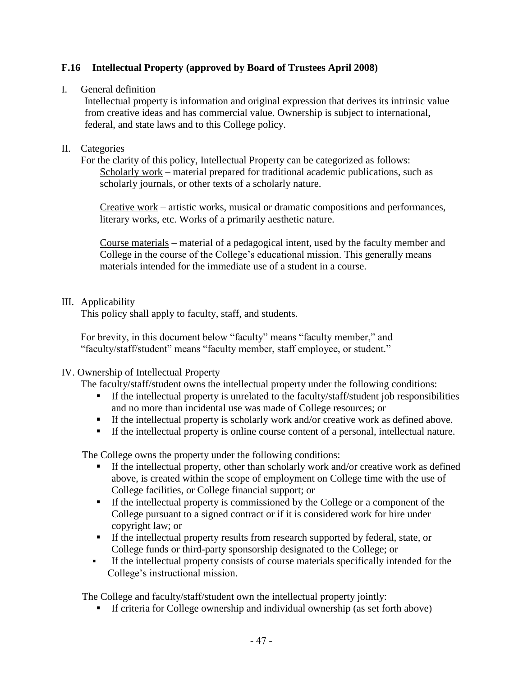## **F.16 Intellectual Property (approved by Board of Trustees April 2008)**

#### I. General definition

Intellectual property is information and original expression that derives its intrinsic value from creative ideas and has commercial value. Ownership is subject to international, federal, and state laws and to this College policy.

#### II. Categories

For the clarity of this policy, Intellectual Property can be categorized as follows: Scholarly work – material prepared for traditional academic publications, such as scholarly journals, or other texts of a scholarly nature.

Creative work – artistic works, musical or dramatic compositions and performances, literary works, etc. Works of a primarily aesthetic nature.

Course materials – material of a pedagogical intent, used by the faculty member and College in the course of the College's educational mission. This generally means materials intended for the immediate use of a student in a course.

#### III. Applicability

This policy shall apply to faculty, staff, and students.

For brevity, in this document below "faculty" means "faculty member," and "faculty/staff/student" means "faculty member, staff employee, or student."

#### IV. Ownership of Intellectual Property

The faculty/staff/student owns the intellectual property under the following conditions:

- **•** If the intellectual property is unrelated to the faculty/staff/student job responsibilities and no more than incidental use was made of College resources; or
- **•** If the intellectual property is scholarly work and/or creative work as defined above.
- If the intellectual property is online course content of a personal, intellectual nature.

The College owns the property under the following conditions:

- If the intellectual property, other than scholarly work and/or creative work as defined above, is created within the scope of employment on College time with the use of College facilities, or College financial support; or
- If the intellectual property is commissioned by the College or a component of the College pursuant to a signed contract or if it is considered work for hire under copyright law; or
- If the intellectual property results from research supported by federal, state, or College funds or third-party sponsorship designated to the College; or
- If the intellectual property consists of course materials specifically intended for the College's instructional mission.

The College and faculty/staff/student own the intellectual property jointly:

**EXECUTE:** If criteria for College ownership and individual ownership (as set forth above)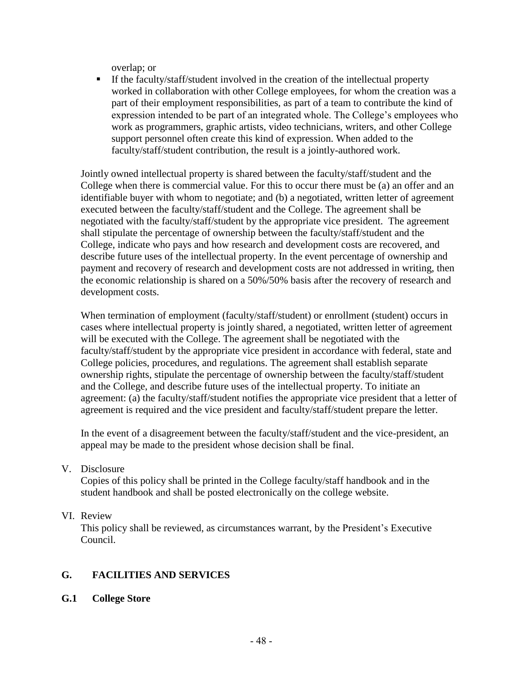overlap; or

**EXECUTE:** If the faculty/staff/student involved in the creation of the intellectual property worked in collaboration with other College employees, for whom the creation was a part of their employment responsibilities, as part of a team to contribute the kind of expression intended to be part of an integrated whole. The College's employees who work as programmers, graphic artists, video technicians, writers, and other College support personnel often create this kind of expression. When added to the faculty/staff/student contribution, the result is a jointly-authored work.

Jointly owned intellectual property is shared between the faculty/staff/student and the College when there is commercial value. For this to occur there must be (a) an offer and an identifiable buyer with whom to negotiate; and (b) a negotiated, written letter of agreement executed between the faculty/staff/student and the College. The agreement shall be negotiated with the faculty/staff/student by the appropriate vice president. The agreement shall stipulate the percentage of ownership between the faculty/staff/student and the College, indicate who pays and how research and development costs are recovered, and describe future uses of the intellectual property. In the event percentage of ownership and payment and recovery of research and development costs are not addressed in writing, then the economic relationship is shared on a 50%/50% basis after the recovery of research and development costs.

When termination of employment (faculty/staff/student) or enrollment (student) occurs in cases where intellectual property is jointly shared, a negotiated, written letter of agreement will be executed with the College. The agreement shall be negotiated with the faculty/staff/student by the appropriate vice president in accordance with federal, state and College policies, procedures, and regulations. The agreement shall establish separate ownership rights, stipulate the percentage of ownership between the faculty/staff/student and the College, and describe future uses of the intellectual property. To initiate an agreement: (a) the faculty/staff/student notifies the appropriate vice president that a letter of agreement is required and the vice president and faculty/staff/student prepare the letter.

In the event of a disagreement between the faculty/staff/student and the vice-president, an appeal may be made to the president whose decision shall be final.

#### V. Disclosure

Copies of this policy shall be printed in the College faculty/staff handbook and in the student handbook and shall be posted electronically on the college website.

#### VI. Review

This policy shall be reviewed, as circumstances warrant, by the President's Executive Council.

#### **G. FACILITIES AND SERVICES**

#### **G.1 College Store**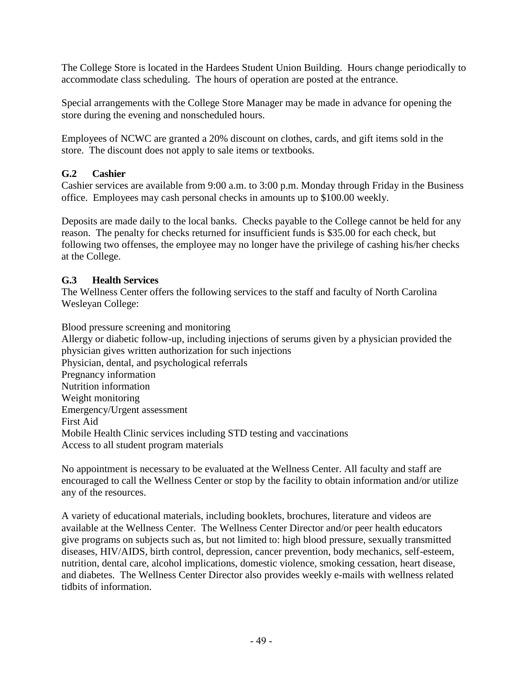The College Store is located in the Hardees Student Union Building. Hours change periodically to accommodate class scheduling. The hours of operation are posted at the entrance.

Special arrangements with the College Store Manager may be made in advance for opening the store during the evening and nonscheduled hours.

Employees of NCWC are granted a 20% discount on clothes, cards, and gift items sold in the store. The discount does not apply to sale items or textbooks.

# **G.2 Cashier**

Cashier services are available from 9:00 a.m. to 3:00 p.m. Monday through Friday in the Business office. Employees may cash personal checks in amounts up to \$100.00 weekly.

Deposits are made daily to the local banks. Checks payable to the College cannot be held for any reason. The penalty for checks returned for insufficient funds is \$35.00 for each check, but following two offenses, the employee may no longer have the privilege of cashing his/her checks at the College.

# **G.3 Health Services**

The Wellness Center offers the following services to the staff and faculty of North Carolina Wesleyan College:

Blood pressure screening and monitoring Allergy or diabetic follow-up, including injections of serums given by a physician provided the physician gives written authorization for such injections Physician, dental, and psychological referrals Pregnancy information Nutrition information Weight monitoring Emergency/Urgent assessment First Aid Mobile Health Clinic services including STD testing and vaccinations Access to all student program materials

No appointment is necessary to be evaluated at the Wellness Center. All faculty and staff are encouraged to call the Wellness Center or stop by the facility to obtain information and/or utilize any of the resources.

A variety of educational materials, including booklets, brochures, literature and videos are available at the Wellness Center. The Wellness Center Director and/or peer health educators give programs on subjects such as, but not limited to: high blood pressure, sexually transmitted diseases, HIV/AIDS, birth control, depression, cancer prevention, body mechanics, self-esteem, nutrition, dental care, alcohol implications, domestic violence, smoking cessation, heart disease, and diabetes. The Wellness Center Director also provides weekly e-mails with wellness related tidbits of information.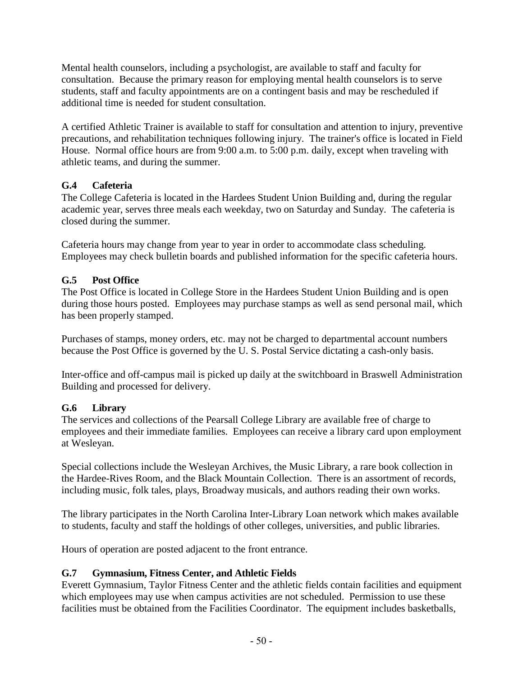Mental health counselors, including a psychologist, are available to staff and faculty for consultation. Because the primary reason for employing mental health counselors is to serve students, staff and faculty appointments are on a contingent basis and may be rescheduled if additional time is needed for student consultation.

A certified Athletic Trainer is available to staff for consultation and attention to injury, preventive precautions, and rehabilitation techniques following injury. The trainer's office is located in Field House. Normal office hours are from 9:00 a.m. to 5:00 p.m. daily, except when traveling with athletic teams, and during the summer.

# **G.4 Cafeteria**

The College Cafeteria is located in the Hardees Student Union Building and, during the regular academic year, serves three meals each weekday, two on Saturday and Sunday. The cafeteria is closed during the summer.

Cafeteria hours may change from year to year in order to accommodate class scheduling. Employees may check bulletin boards and published information for the specific cafeteria hours.

# **G.5 Post Office**

The Post Office is located in College Store in the Hardees Student Union Building and is open during those hours posted. Employees may purchase stamps as well as send personal mail, which has been properly stamped.

Purchases of stamps, money orders, etc. may not be charged to departmental account numbers because the Post Office is governed by the U. S. Postal Service dictating a cash-only basis.

Inter-office and off-campus mail is picked up daily at the switchboard in Braswell Administration Building and processed for delivery.

# **G.6 Library**

The services and collections of the Pearsall College Library are available free of charge to employees and their immediate families. Employees can receive a library card upon employment at Wesleyan.

Special collections include the Wesleyan Archives, the Music Library, a rare book collection in the Hardee-Rives Room, and the Black Mountain Collection. There is an assortment of records, including music, folk tales, plays, Broadway musicals, and authors reading their own works.

The library participates in the North Carolina Inter-Library Loan network which makes available to students, faculty and staff the holdings of other colleges, universities, and public libraries.

Hours of operation are posted adjacent to the front entrance.

# **G.7 Gymnasium, Fitness Center, and Athletic Fields**

Everett Gymnasium, Taylor Fitness Center and the athletic fields contain facilities and equipment which employees may use when campus activities are not scheduled. Permission to use these facilities must be obtained from the Facilities Coordinator. The equipment includes basketballs,